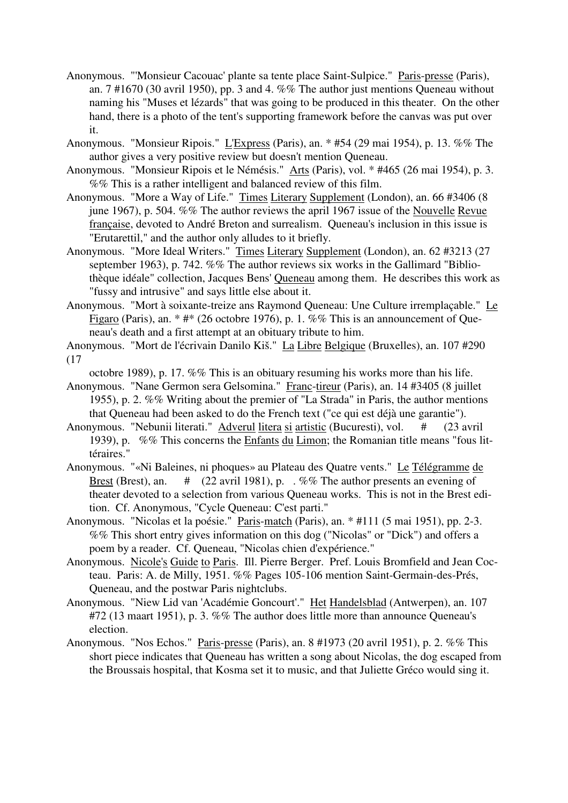- Anonymous. "'Monsieur Cacouac' plante sa tente place Saint-Sulpice." Paris-presse (Paris), an. 7 #1670 (30 avril 1950), pp. 3 and 4. %% The author just mentions Queneau without naming his "Muses et lézards" that was going to be produced in this theater. On the other hand, there is a photo of the tent's supporting framework before the canvas was put over it.
- Anonymous. "Monsieur Ripois." L'Express (Paris), an. \* #54 (29 mai 1954), p. 13. %% The author gives a very positive review but doesn't mention Queneau.
- Anonymous. "Monsieur Ripois et le Némésis." Arts (Paris), vol. \* #465 (26 mai 1954), p. 3. %% This is a rather intelligent and balanced review of this film.
- Anonymous. "More a Way of Life." Times Literary Supplement (London), an. 66 #3406 (8 june 1967), p. 504. %% The author reviews the april 1967 issue of the Nouvelle Revue française, devoted to André Breton and surrealism. Queneau's inclusion in this issue is "Erutarettil," and the author only alludes to it briefly.
- Anonymous. "More Ideal Writers." Times Literary Supplement (London), an. 62 #3213 (27 september 1963), p. 742. %% The author reviews six works in the Gallimard "Bibliothèque idéale" collection, Jacques Bens' Queneau among them. He describes this work as "fussy and intrusive" and says little else about it.
- Anonymous. "Mort à soixante-treize ans Raymond Queneau: Une Culture irremplaçable." Le Figaro (Paris), an. \* #\* (26 octobre 1976), p. 1. %% This is an announcement of Queneau's death and a first attempt at an obituary tribute to him.
- Anonymous. "Mort de l'écrivain Danilo Kiš." La Libre Belgique (Bruxelles), an. 107 #290 (17

octobre 1989), p. 17. %% This is an obituary resuming his works more than his life.

- Anonymous. "Nane Germon sera Gelsomina." Franc-tireur (Paris), an. 14 #3405 (8 juillet 1955), p. 2. %% Writing about the premier of "La Strada" in Paris, the author mentions that Queneau had been asked to do the French text ("ce qui est déjà une garantie").
- Anonymous. "Nebunii literati." Adverul litera si artistic (Bucuresti), vol. # (23 avril 1939), p. %% This concerns the Enfants du Limon; the Romanian title means "fous littéraires."
- Anonymous. "«Ni Baleines, ni phoques» au Plateau des Quatre vents." Le Télégramme de Brest (Brest), an.  $\#$  (22 avril 1981), p. . %% The author presents an evening of theater devoted to a selection from various Queneau works. This is not in the Brest edition. Cf. Anonymous, "Cycle Queneau: C'est parti."
- Anonymous. "Nicolas et la poésie." Paris-match (Paris), an. \* #111 (5 mai 1951), pp. 2-3. %% This short entry gives information on this dog ("Nicolas" or "Dick") and offers a poem by a reader. Cf. Queneau, "Nicolas chien d'expérience."
- Anonymous. Nicole's Guide to Paris. Ill. Pierre Berger. Pref. Louis Bromfield and Jean Cocteau. Paris: A. de Milly, 1951. %% Pages 105-106 mention Saint-Germain-des-Prés, Queneau, and the postwar Paris nightclubs.
- Anonymous. "Niew Lid van 'Académie Goncourt'." Het Handelsblad (Antwerpen), an. 107 #72 (13 maart 1951), p. 3. %% The author does little more than announce Queneau's election.
- Anonymous. "Nos Echos." Paris-presse (Paris), an. 8 #1973 (20 avril 1951), p. 2. %% This short piece indicates that Queneau has written a song about Nicolas, the dog escaped from the Broussais hospital, that Kosma set it to music, and that Juliette Gréco would sing it.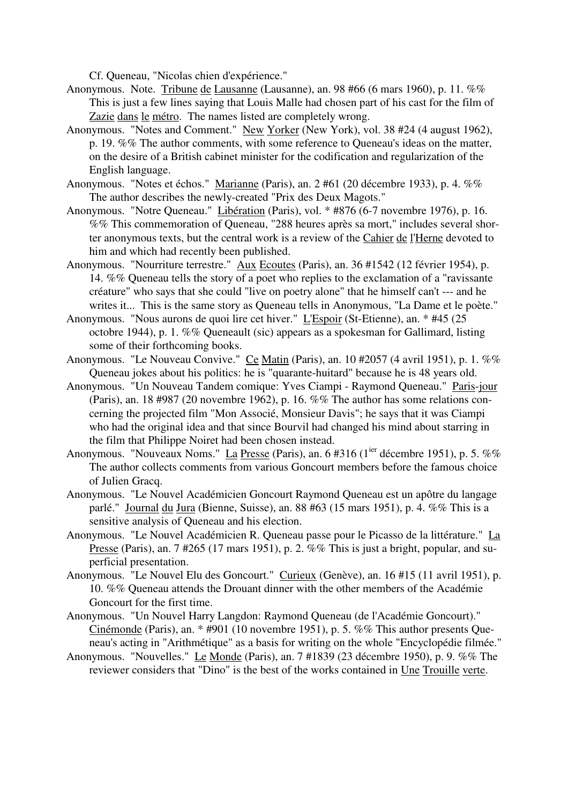Cf. Queneau, "Nicolas chien d'expérience."

- Anonymous. Note. Tribune de Lausanne (Lausanne), an. 98 #66 (6 mars 1960), p. 11. %% This is just a few lines saying that Louis Malle had chosen part of his cast for the film of Zazie dans le métro. The names listed are completely wrong.
- Anonymous. "Notes and Comment." New Yorker (New York), vol. 38 #24 (4 august 1962), p. 19. %% The author comments, with some reference to Queneau's ideas on the matter, on the desire of a British cabinet minister for the codification and regularization of the English language.
- Anonymous. "Notes et échos." Marianne (Paris), an. 2 #61 (20 décembre 1933), p. 4. %% The author describes the newly-created "Prix des Deux Magots."
- Anonymous. "Notre Queneau." Libération (Paris), vol. \* #876 (6-7 novembre 1976), p. 16. %% This commemoration of Queneau, "288 heures après sa mort," includes several shorter anonymous texts, but the central work is a review of the Cahier de l'Herne devoted to him and which had recently been published.
- Anonymous. "Nourriture terrestre." Aux Ecoutes (Paris), an. 36 #1542 (12 février 1954), p. 14. %% Queneau tells the story of a poet who replies to the exclamation of a "ravissante créature" who says that she could "live on poetry alone" that he himself can't --- and he writes it... This is the same story as Queneau tells in Anonymous, "La Dame et le poète."
- Anonymous. "Nous aurons de quoi lire cet hiver." L'Espoir (St-Etienne), an. \* #45 (25 octobre 1944), p. 1. %% Queneault (sic) appears as a spokesman for Gallimard, listing some of their forthcoming books.
- Anonymous. "Le Nouveau Convive." Ce Matin (Paris), an. 10 #2057 (4 avril 1951), p. 1. %% Queneau jokes about his politics: he is "quarante-huitard" because he is 48 years old.
- Anonymous. "Un Nouveau Tandem comique: Yves Ciampi Raymond Queneau." Paris-jour (Paris), an. 18 #987 (20 novembre 1962), p. 16. %% The author has some relations concerning the projected film "Mon Associé, Monsieur Davis"; he says that it was Ciampi who had the original idea and that since Bourvil had changed his mind about starring in the film that Philippe Noiret had been chosen instead.
- Anonymous. "Nouveaux Noms." La Presse (Paris), an. 6  $#316$  ( $1^{ier}$  décembre 1951), p. 5. %% The author collects comments from various Goncourt members before the famous choice of Julien Gracq.
- Anonymous. "Le Nouvel Académicien Goncourt Raymond Queneau est un apôtre du langage parlé." Journal du Jura (Bienne, Suisse), an. 88 #63 (15 mars 1951), p. 4. %% This is a sensitive analysis of Queneau and his election.
- Anonymous. "Le Nouvel Académicien R. Queneau passe pour le Picasso de la littérature." La Presse (Paris), an. 7 #265 (17 mars 1951), p. 2. %% This is just a bright, popular, and superficial presentation.
- Anonymous. "Le Nouvel Elu des Goncourt." Curieux (Genève), an. 16 #15 (11 avril 1951), p. 10. %% Queneau attends the Drouant dinner with the other members of the Académie Goncourt for the first time.
- Anonymous. "Un Nouvel Harry Langdon: Raymond Queneau (de l'Académie Goncourt)." Cinémonde (Paris), an. \* #901 (10 novembre 1951), p. 5. %% This author presents Queneau's acting in "Arithmétique" as a basis for writing on the whole "Encyclopédie filmée."
- Anonymous. "Nouvelles." Le Monde (Paris), an. 7 #1839 (23 décembre 1950), p. 9. %% The reviewer considers that "Dino" is the best of the works contained in Une Trouille verte.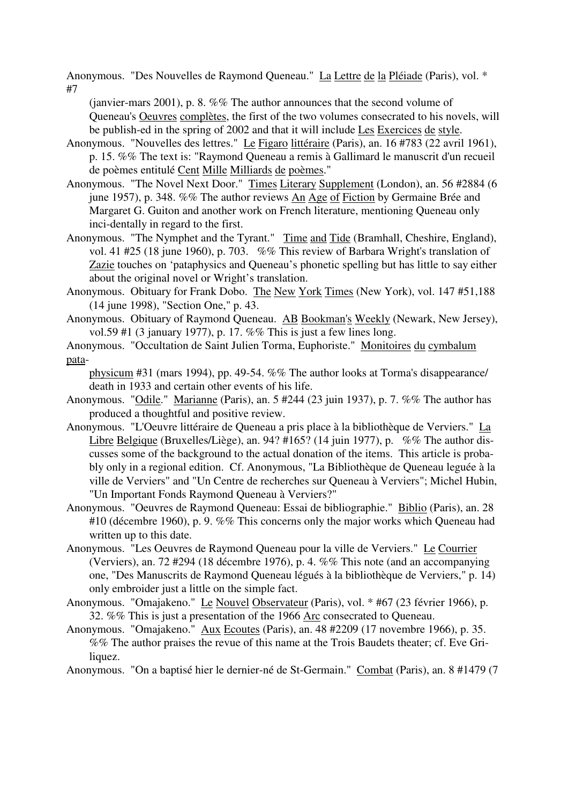Anonymous. "Des Nouvelles de Raymond Queneau." La Lettre de la Pléiade (Paris), vol. \* #7

(janvier-mars 2001), p. 8. %% The author announces that the second volume of Queneau's Oeuvres complètes, the first of the two volumes consecrated to his novels, will be publish-ed in the spring of 2002 and that it will include Les Exercices de style.

- Anonymous. "Nouvelles des lettres." Le Figaro littéraire (Paris), an. 16 #783 (22 avril 1961), p. 15. %% The text is: "Raymond Queneau a remis à Gallimard le manuscrit d'un recueil de poèmes entitulé Cent Mille Milliards de poèmes."
- Anonymous. "The Novel Next Door." Times Literary Supplement (London), an. 56 #2884 (6 june 1957), p. 348. %% The author reviews An Age of Fiction by Germaine Brée and Margaret G. Guiton and another work on French literature, mentioning Queneau only inci-dentally in regard to the first.
- Anonymous. "The Nymphet and the Tyrant." Time and Tide (Bramhall, Cheshire, England), vol. 41 #25 (18 june 1960), p. 703. %% This review of Barbara Wright's translation of Zazie touches on 'pataphysics and Queneau's phonetic spelling but has little to say either about the original novel or Wright's translation.
- Anonymous. Obituary for Frank Dobo. The New York Times (New York), vol. 147 #51,188 (14 june 1998), "Section One," p. 43.
- Anonymous. Obituary of Raymond Queneau. AB Bookman's Weekly (Newark, New Jersey), vol.59 #1 (3 january 1977), p. 17. %% This is just a few lines long.
- Anonymous. "Occultation de Saint Julien Torma, Euphoriste." Monitoires du cymbalum pata-

physicum #31 (mars 1994), pp. 49-54. %% The author looks at Torma's disappearance/ death in 1933 and certain other events of his life.

- Anonymous. "Odile." Marianne (Paris), an. 5 #244 (23 juin 1937), p. 7. %% The author has produced a thoughtful and positive review.
- Anonymous. "L'Oeuvre littéraire de Queneau a pris place à la bibliothèque de Verviers." La Libre Belgique (Bruxelles/Liège), an. 94? #165? (14 juin 1977), p. %% The author discusses some of the background to the actual donation of the items. This article is probably only in a regional edition. Cf. Anonymous, "La Bibliothèque de Queneau leguée à la ville de Verviers" and "Un Centre de recherches sur Queneau à Verviers"; Michel Hubin, "Un Important Fonds Raymond Queneau à Verviers?"
- Anonymous. "Oeuvres de Raymond Queneau: Essai de bibliographie." Biblio (Paris), an. 28 #10 (décembre 1960), p. 9. %% This concerns only the major works which Queneau had written up to this date.
- Anonymous. "Les Oeuvres de Raymond Queneau pour la ville de Verviers." Le Courrier (Verviers), an. 72 #294 (18 décembre 1976), p. 4. %% This note (and an accompanying one, "Des Manuscrits de Raymond Queneau légués à la bibliothèque de Verviers," p. 14) only embroider just a little on the simple fact.
- Anonymous. "Omajakeno." Le Nouvel Observateur (Paris), vol. \* #67 (23 février 1966), p. 32. %% This is just a presentation of the 1966 Arc consecrated to Queneau.
- Anonymous. "Omajakeno." Aux Ecoutes (Paris), an. 48 #2209 (17 novembre 1966), p. 35. %% The author praises the revue of this name at the Trois Baudets theater; cf. Eve Griliquez.
- Anonymous. "On a baptisé hier le dernier-né de St-Germain." Combat (Paris), an. 8 #1479 (7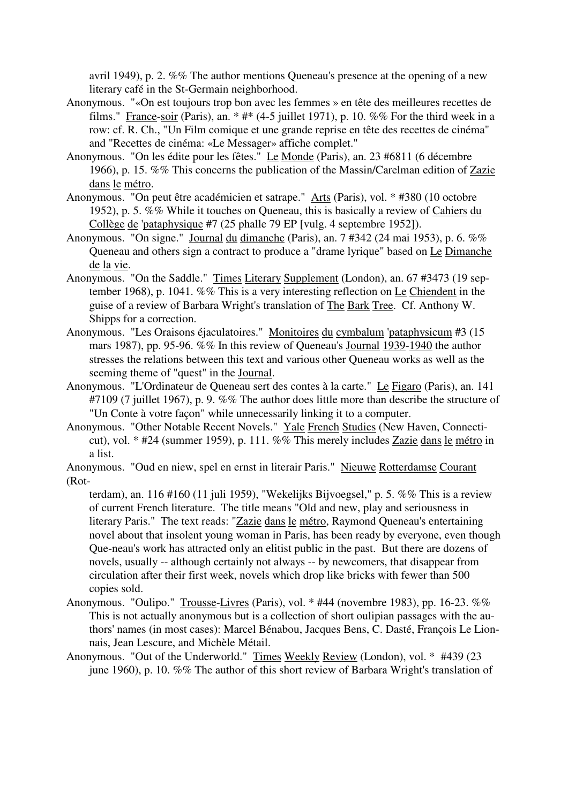avril 1949), p. 2. %% The author mentions Queneau's presence at the opening of a new literary café in the St-Germain neighborhood.

- Anonymous. "«On est toujours trop bon avec les femmes » en tête des meilleures recettes de films." France-soir (Paris), an.  $*$  # $*$  (4-5 juillet 1971), p. 10. %% For the third week in a row: cf. R. Ch., "Un Film comique et une grande reprise en tête des recettes de cinéma" and "Recettes de cinéma: «Le Messager» affiche complet."
- Anonymous. "On les édite pour les fêtes." Le Monde (Paris), an. 23 #6811 (6 décembre 1966), p. 15. %% This concerns the publication of the Massin/Carelman edition of Zazie dans le métro.
- Anonymous. "On peut être académicien et satrape." Arts (Paris), vol. \* #380 (10 octobre 1952), p. 5. %% While it touches on Queneau, this is basically a review of Cahiers du Collège de 'pataphysique #7 (25 phalle 79 EP [vulg. 4 septembre 1952]).
- Anonymous. "On signe." Journal du dimanche (Paris), an. 7 #342 (24 mai 1953), p. 6. %% Queneau and others sign a contract to produce a "drame lyrique" based on Le Dimanche de la vie.
- Anonymous. "On the Saddle." Times Literary Supplement (London), an. 67 #3473 (19 september 1968), p. 1041. %% This is a very interesting reflection on Le Chiendent in the guise of a review of Barbara Wright's translation of The Bark Tree. Cf. Anthony W. Shipps for a correction.
- Anonymous. "Les Oraisons éjaculatoires." Monitoires du cymbalum 'pataphysicum #3 (15 mars 1987), pp. 95-96. %% In this review of Queneau's Journal 1939-1940 the author stresses the relations between this text and various other Queneau works as well as the seeming theme of "quest" in the Journal.
- Anonymous. "L'Ordinateur de Queneau sert des contes à la carte." Le Figaro (Paris), an. 141 #7109 (7 juillet 1967), p. 9. %% The author does little more than describe the structure of "Un Conte à votre façon" while unnecessarily linking it to a computer.
- Anonymous. "Other Notable Recent Novels." Yale French Studies (New Haven, Connecticut), vol. \* #24 (summer 1959), p. 111. %% This merely includes Zazie dans le métro in a list.

Anonymous. "Oud en niew, spel en ernst in literair Paris." Nieuwe Rotterdamse Courant (Rot-

terdam), an. 116 #160 (11 juli 1959), "Wekelijks Bijvoegsel," p. 5. %% This is a review of current French literature. The title means "Old and new, play and seriousness in literary Paris." The text reads: "Zazie dans le métro, Raymond Queneau's entertaining novel about that insolent young woman in Paris, has been ready by everyone, even though Que-neau's work has attracted only an elitist public in the past. But there are dozens of novels, usually -- although certainly not always -- by newcomers, that disappear from circulation after their first week, novels which drop like bricks with fewer than 500 copies sold.

- Anonymous. "Oulipo." Trousse-Livres (Paris), vol. \* #44 (novembre 1983), pp. 16-23. %% This is not actually anonymous but is a collection of short oulipian passages with the authors' names (in most cases): Marcel Bénabou, Jacques Bens, C. Dasté, François Le Lionnais, Jean Lescure, and Michèle Métail.
- Anonymous. "Out of the Underworld." Times Weekly Review (London), vol. \* #439 (23 june 1960), p. 10. %% The author of this short review of Barbara Wright's translation of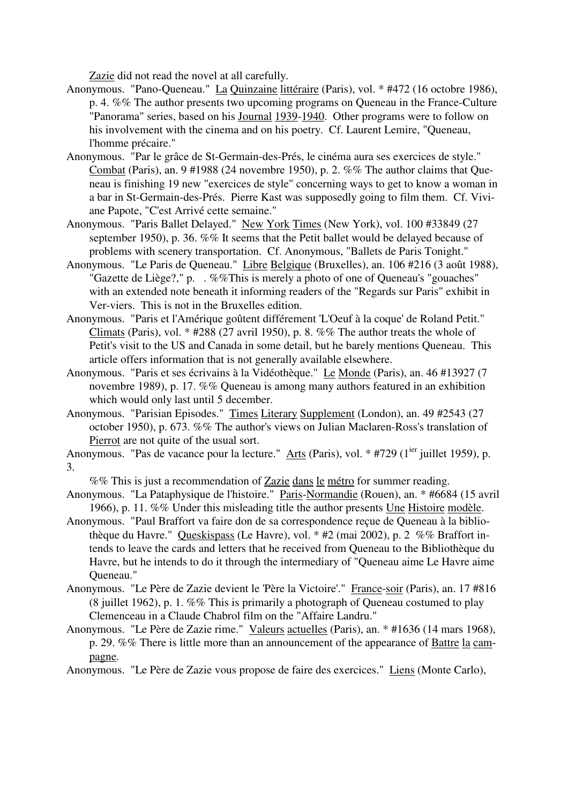Zazie did not read the novel at all carefully.

- Anonymous. "Pano-Queneau." La Quinzaine littéraire (Paris), vol. \* #472 (16 octobre 1986), p. 4. %% The author presents two upcoming programs on Queneau in the France-Culture "Panorama" series, based on his Journal 1939-1940. Other programs were to follow on his involvement with the cinema and on his poetry. Cf. Laurent Lemire, "Queneau, l'homme précaire."
- Anonymous. "Par le grâce de St-Germain-des-Prés, le cinéma aura ses exercices de style." Combat (Paris), an. 9 #1988 (24 novembre 1950), p. 2. %% The author claims that Queneau is finishing 19 new "exercices de style" concerning ways to get to know a woman in a bar in St-Germain-des-Prés. Pierre Kast was supposedly going to film them. Cf. Viviane Papote, "C'est Arrivé cette semaine."
- Anonymous. "Paris Ballet Delayed." New York Times (New York), vol. 100 #33849 (27 september 1950), p. 36. %% It seems that the Petit ballet would be delayed because of problems with scenery transportation. Cf. Anonymous, "Ballets de Paris Tonight."
- Anonymous. "Le Paris de Queneau." Libre Belgique (Bruxelles), an. 106 #216 (3 août 1988), "Gazette de Liège?," p. . %%This is merely a photo of one of Queneau's "gouaches" with an extended note beneath it informing readers of the "Regards sur Paris" exhibit in Ver-viers. This is not in the Bruxelles edition.
- Anonymous. "Paris et l'Amérique goûtent différement 'L'Oeuf à la coque' de Roland Petit." Climats (Paris), vol. \* #288 (27 avril 1950), p. 8. %% The author treats the whole of Petit's visit to the US and Canada in some detail, but he barely mentions Queneau. This article offers information that is not generally available elsewhere.
- Anonymous. "Paris et ses écrivains à la Vidéothèque." Le Monde (Paris), an. 46 #13927 (7 novembre 1989), p. 17. %% Queneau is among many authors featured in an exhibition which would only last until 5 december.
- Anonymous. "Parisian Episodes." Times Literary Supplement (London), an. 49 #2543 (27 october 1950), p. 673. %% The author's views on Julian Maclaren-Ross's translation of Pierrot are not quite of the usual sort.

Anonymous. "Pas de vacance pour la lecture." Arts (Paris), vol.  $*$  #729 (1<sup>ier</sup> juillet 1959), p. 3.

%% This is just a recommendation of Zazie dans le métro for summer reading.

- Anonymous. "La Pataphysique de l'histoire." Paris-Normandie (Rouen), an. \* #6684 (15 avril 1966), p. 11. %% Under this misleading title the author presents Une Histoire modèle.
- Anonymous. "Paul Braffort va faire don de sa correspondence reçue de Queneau à la bibliothèque du Havre." Queskispass (Le Havre), vol. \* #2 (mai 2002), p. 2 %% Braffort intends to leave the cards and letters that he received from Queneau to the Bibliothèque du Havre, but he intends to do it through the intermediary of "Queneau aime Le Havre aime Queneau."
- Anonymous. "Le Père de Zazie devient le 'Père la Victoire'." France-soir (Paris), an. 17 #816 (8 juillet 1962), p. 1. %% This is primarily a photograph of Queneau costumed to play Clemenceau in a Claude Chabrol film on the "Affaire Landru."
- Anonymous. "Le Père de Zazie rime." Valeurs actuelles (Paris), an. \* #1636 (14 mars 1968), p. 29. %% There is little more than an announcement of the appearance of Battre la campagne.

Anonymous. "Le Père de Zazie vous propose de faire des exercices." Liens (Monte Carlo),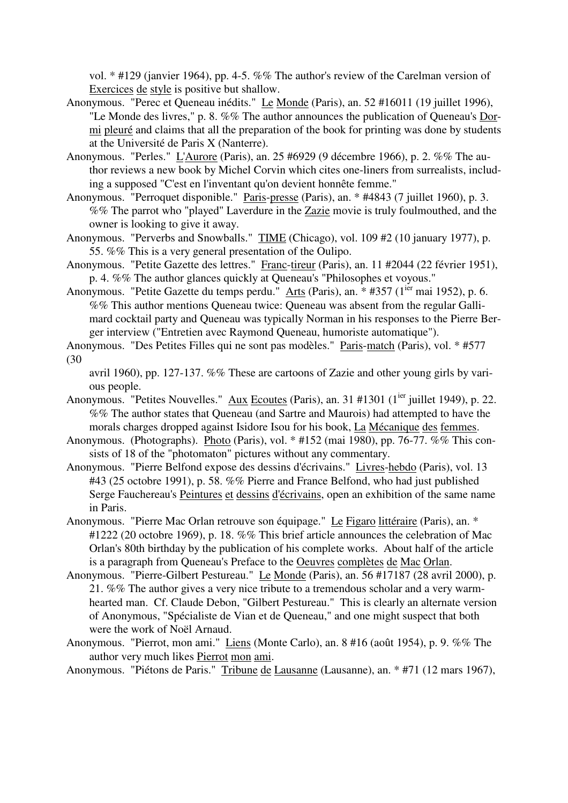vol. \* #129 (janvier 1964), pp. 4-5. %% The author's review of the Carelman version of Exercices de style is positive but shallow.

- Anonymous. "Perec et Queneau inédits." Le Monde (Paris), an. 52 #16011 (19 juillet 1996), "Le Monde des livres," p. 8. %% The author announces the publication of Queneau's Dormi pleuré and claims that all the preparation of the book for printing was done by students at the Université de Paris X (Nanterre).
- Anonymous. "Perles." L'Aurore (Paris), an. 25 #6929 (9 décembre 1966), p. 2. %% The author reviews a new book by Michel Corvin which cites one-liners from surrealists, including a supposed "C'est en l'inventant qu'on devient honnête femme."
- Anonymous. "Perroquet disponible." Paris-presse (Paris), an. \* #4843 (7 juillet 1960), p. 3. %% The parrot who "played" Laverdure in the Zazie movie is truly foulmouthed, and the owner is looking to give it away.
- Anonymous. "Perverbs and Snowballs." TIME (Chicago), vol. 109 #2 (10 january 1977), p. 55. %% This is a very general presentation of the Oulipo.
- Anonymous. "Petite Gazette des lettres." Franc-tireur (Paris), an. 11 #2044 (22 février 1951), p. 4. %% The author glances quickly at Queneau's "Philosophes et voyous."
- Anonymous. "Petite Gazette du temps perdu." Arts (Paris), an. \* #357 (1<sup>ier</sup> mai 1952), p. 6. %% This author mentions Queneau twice: Queneau was absent from the regular Gallimard cocktail party and Queneau was typically Norman in his responses to the Pierre Berger interview ("Entretien avec Raymond Queneau, humoriste automatique").
- Anonymous. "Des Petites Filles qui ne sont pas modèles." Paris-match (Paris), vol. \* #577 (30

avril 1960), pp. 127-137. %% These are cartoons of Zazie and other young girls by various people.

- Anonymous. "Petites Nouvelles." Aux Ecoutes (Paris), an. 31 #1301 (1<sup>ier</sup> juillet 1949), p. 22. %% The author states that Queneau (and Sartre and Maurois) had attempted to have the morals charges dropped against Isidore Isou for his book, La Mécanique des femmes.
- Anonymous. (Photographs). Photo (Paris), vol. \* #152 (mai 1980), pp. 76-77. %% This consists of 18 of the "photomaton" pictures without any commentary.
- Anonymous. "Pierre Belfond expose des dessins d'écrivains." Livres-hebdo (Paris), vol. 13 #43 (25 octobre 1991), p. 58. %% Pierre and France Belfond, who had just published Serge Fauchereau's Peintures et dessins d'écrivains, open an exhibition of the same name in Paris.
- Anonymous. "Pierre Mac Orlan retrouve son équipage." Le Figaro littéraire (Paris), an. \* #1222 (20 octobre 1969), p. 18. %% This brief article announces the celebration of Mac Orlan's 80th birthday by the publication of his complete works. About half of the article is a paragraph from Queneau's Preface to the Oeuvres complètes de Mac Orlan.
- Anonymous. "Pierre-Gilbert Pestureau." Le Monde (Paris), an. 56 #17187 (28 avril 2000), p. 21. %% The author gives a very nice tribute to a tremendous scholar and a very warmhearted man. Cf. Claude Debon, "Gilbert Pestureau." This is clearly an alternate version of Anonymous, "Spécialiste de Vian et de Queneau," and one might suspect that both were the work of Noël Arnaud.
- Anonymous. "Pierrot, mon ami." Liens (Monte Carlo), an. 8 #16 (août 1954), p. 9. %% The author very much likes Pierrot mon ami.

Anonymous. "Piétons de Paris." Tribune de Lausanne (Lausanne), an. \* #71 (12 mars 1967),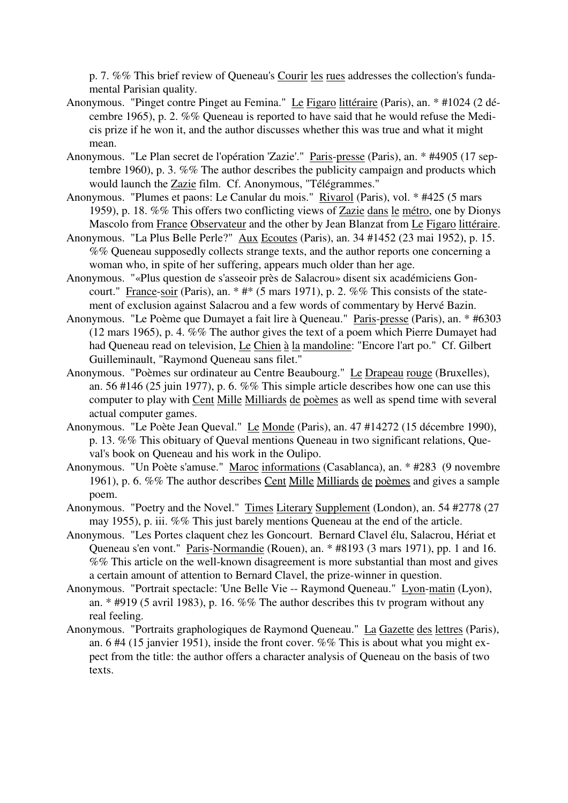p. 7. %% This brief review of Queneau's Courir les rues addresses the collection's fundamental Parisian quality.

- Anonymous. "Pinget contre Pinget au Femina." Le Figaro littéraire (Paris), an. \* #1024 (2 décembre 1965), p. 2. %% Queneau is reported to have said that he would refuse the Medicis prize if he won it, and the author discusses whether this was true and what it might mean.
- Anonymous. "Le Plan secret de l'opération 'Zazie'." Paris-presse (Paris), an. \* #4905 (17 septembre 1960), p. 3. %% The author describes the publicity campaign and products which would launch the Zazie film. Cf. Anonymous, "Télégrammes."
- Anonymous. "Plumes et paons: Le Canular du mois." Rivarol (Paris), vol. \* #425 (5 mars 1959), p. 18. %% This offers two conflicting views of Zazie dans le métro, one by Dionys Mascolo from France Observateur and the other by Jean Blanzat from Le Figaro littéraire.
- Anonymous. "La Plus Belle Perle?" Aux Ecoutes (Paris), an. 34 #1452 (23 mai 1952), p. 15. %% Queneau supposedly collects strange texts, and the author reports one concerning a woman who, in spite of her suffering, appears much older than her age.
- Anonymous. "«Plus question de s'asseoir près de Salacrou» disent six académiciens Goncourt." France-soir (Paris), an.  $*$  # $*$  (5 mars 1971), p. 2. %% This consists of the statement of exclusion against Salacrou and a few words of commentary by Hervé Bazin.
- Anonymous. "Le Poème que Dumayet a fait lire à Queneau." Paris-presse (Paris), an. \* #6303 (12 mars 1965), p. 4. %% The author gives the text of a poem which Pierre Dumayet had had Queneau read on television, Le Chien à la mandoline: "Encore l'art po." Cf. Gilbert Guilleminault, "Raymond Queneau sans filet."
- Anonymous. "Poèmes sur ordinateur au Centre Beaubourg." Le Drapeau rouge (Bruxelles), an. 56 #146 (25 juin 1977), p. 6. %% This simple article describes how one can use this computer to play with Cent Mille Milliards de poèmes as well as spend time with several actual computer games.
- Anonymous. "Le Poète Jean Queval." Le Monde (Paris), an. 47 #14272 (15 décembre 1990), p. 13. %% This obituary of Queval mentions Queneau in two significant relations, Queval's book on Queneau and his work in the Oulipo.
- Anonymous. "Un Poète s'amuse." Maroc informations (Casablanca), an. \* #283 (9 novembre 1961), p. 6. %% The author describes Cent Mille Milliards de poèmes and gives a sample poem.
- Anonymous. "Poetry and the Novel." Times Literary Supplement (London), an. 54 #2778 (27 may 1955), p. iii. %% This just barely mentions Queneau at the end of the article.
- Anonymous. "Les Portes claquent chez les Goncourt. Bernard Clavel élu, Salacrou, Hériat et Queneau s'en vont." Paris-Normandie (Rouen), an. \* #8193 (3 mars 1971), pp. 1 and 16. %% This article on the well-known disagreement is more substantial than most and gives a certain amount of attention to Bernard Clavel, the prize-winner in question.
- Anonymous. "Portrait spectacle: 'Une Belle Vie -- Raymond Queneau." Lyon-matin (Lyon), an. \* #919 (5 avril 1983), p. 16. %% The author describes this tv program without any real feeling.
- Anonymous. "Portraits graphologiques de Raymond Queneau." La Gazette des lettres (Paris), an. 6 #4 (15 janvier 1951), inside the front cover. %% This is about what you might expect from the title: the author offers a character analysis of Queneau on the basis of two texts.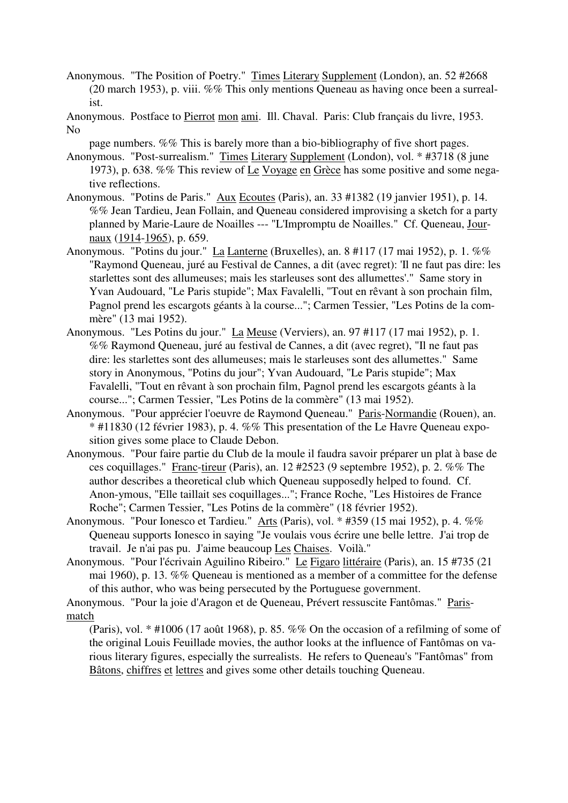- Anonymous. "The Position of Poetry." Times Literary Supplement (London), an. 52 #2668 (20 march 1953), p. viii. %% This only mentions Queneau as having once been a surrealist.
- Anonymous. Postface to Pierrot mon ami. Ill. Chaval. Paris: Club français du livre, 1953. No
	- page numbers. %% This is barely more than a bio-bibliography of five short pages.
- Anonymous. "Post-surrealism." Times Literary Supplement (London), vol. \* #3718 (8 june 1973), p. 638. %% This review of Le Voyage en Grèce has some positive and some negative reflections.
- Anonymous. "Potins de Paris." Aux Ecoutes (Paris), an. 33 #1382 (19 janvier 1951), p. 14. %% Jean Tardieu, Jean Follain, and Queneau considered improvising a sketch for a party planned by Marie-Laure de Noailles --- "L'Impromptu de Noailles." Cf. Queneau, Journaux (1914-1965), p. 659.
- Anonymous. "Potins du jour." La Lanterne (Bruxelles), an. 8 #117 (17 mai 1952), p. 1. %% "Raymond Queneau, juré au Festival de Cannes, a dit (avec regret): 'Il ne faut pas dire: les starlettes sont des allumeuses; mais les starleuses sont des allumettes'." Same story in Yvan Audouard, "Le Paris stupide"; Max Favalelli, "Tout en rêvant à son prochain film, Pagnol prend les escargots géants à la course..."; Carmen Tessier, "Les Potins de la commère" (13 mai 1952).
- Anonymous. "Les Potins du jour." La Meuse (Verviers), an. 97 #117 (17 mai 1952), p. 1. %% Raymond Queneau, juré au festival de Cannes, a dit (avec regret), "Il ne faut pas dire: les starlettes sont des allumeuses; mais le starleuses sont des allumettes." Same story in Anonymous, "Potins du jour"; Yvan Audouard, "Le Paris stupide"; Max Favalelli, "Tout en rêvant à son prochain film, Pagnol prend les escargots géants à la course..."; Carmen Tessier, "Les Potins de la commère" (13 mai 1952).
- Anonymous. "Pour apprécier l'oeuvre de Raymond Queneau." Paris-Normandie (Rouen), an. \* #11830 (12 février 1983), p. 4. %% This presentation of the Le Havre Queneau exposition gives some place to Claude Debon.
- Anonymous. "Pour faire partie du Club de la moule il faudra savoir préparer un plat à base de ces coquillages." Franc-tireur (Paris), an. 12 #2523 (9 septembre 1952), p. 2. %% The author describes a theoretical club which Queneau supposedly helped to found. Cf. Anon-ymous, "Elle taillait ses coquillages..."; France Roche, "Les Histoires de France Roche"; Carmen Tessier, "Les Potins de la commère" (18 février 1952).
- Anonymous. "Pour Ionesco et Tardieu." Arts (Paris), vol. \* #359 (15 mai 1952), p. 4. %% Queneau supports Ionesco in saying "Je voulais vous écrire une belle lettre. J'ai trop de travail. Je n'ai pas pu. J'aime beaucoup Les Chaises. Voilà."
- Anonymous. "Pour l'écrivain Aguilino Ribeiro." Le Figaro littéraire (Paris), an. 15 #735 (21 mai 1960), p. 13. %% Queneau is mentioned as a member of a committee for the defense of this author, who was being persecuted by the Portuguese government.

Anonymous. "Pour la joie d'Aragon et de Queneau, Prévert ressuscite Fantômas." Parismatch

(Paris), vol. \* #1006 (17 août 1968), p. 85. %% On the occasion of a refilming of some of the original Louis Feuillade movies, the author looks at the influence of Fantômas on various literary figures, especially the surrealists. He refers to Queneau's "Fantômas" from Bâtons, chiffres et lettres and gives some other details touching Queneau.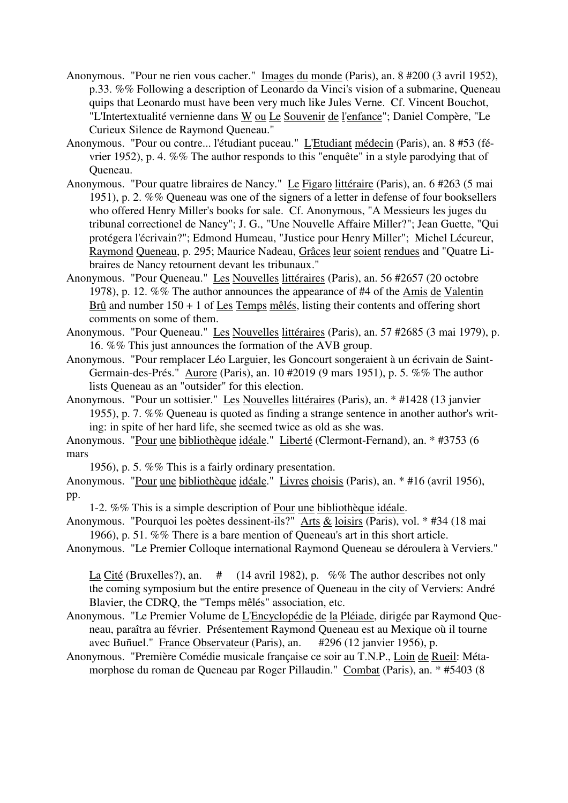- Anonymous. "Pour ne rien vous cacher." Images du monde (Paris), an. 8 #200 (3 avril 1952), p.33. %% Following a description of Leonardo da Vinci's vision of a submarine, Queneau quips that Leonardo must have been very much like Jules Verne. Cf. Vincent Bouchot, "L'Intertextualité vernienne dans W ou Le Souvenir de l'enfance"; Daniel Compère, "Le Curieux Silence de Raymond Queneau."
- Anonymous. "Pour ou contre... l'étudiant puceau." L'Etudiant médecin (Paris), an. 8 #53 (février 1952), p. 4. %% The author responds to this "enquête" in a style parodying that of Queneau.
- Anonymous. "Pour quatre libraires de Nancy." Le Figaro littéraire (Paris), an. 6 #263 (5 mai 1951), p. 2. %% Queneau was one of the signers of a letter in defense of four booksellers who offered Henry Miller's books for sale. Cf. Anonymous, "A Messieurs les juges du tribunal correctionel de Nancy"; J. G., "Une Nouvelle Affaire Miller?"; Jean Guette, "Qui protégera l'écrivain?"; Edmond Humeau, "Justice pour Henry Miller"; Michel Lécureur, Raymond Queneau, p. 295; Maurice Nadeau, Grâces leur soient rendues and "Quatre Libraires de Nancy retournent devant les tribunaux."
- Anonymous. "Pour Queneau." Les Nouvelles littéraires (Paris), an. 56 #2657 (20 octobre 1978), p. 12. %% The author announces the appearance of #4 of the Amis de Valentin Brû and number 150 + 1 of Les Temps mêlés, listing their contents and offering short comments on some of them.
- Anonymous. "Pour Queneau." Les Nouvelles littéraires (Paris), an. 57 #2685 (3 mai 1979), p. 16. %% This just announces the formation of the AVB group.
- Anonymous. "Pour remplacer Léo Larguier, les Goncourt songeraient à un écrivain de Saint-Germain-des-Prés." Aurore (Paris), an. 10 #2019 (9 mars 1951), p. 5. %% The author lists Queneau as an "outsider" for this election.
- Anonymous. "Pour un sottisier." Les Nouvelles littéraires (Paris), an. \* #1428 (13 janvier 1955), p. 7. %% Queneau is quoted as finding a strange sentence in another author's writing: in spite of her hard life, she seemed twice as old as she was.
- Anonymous. "Pour une bibliothèque idéale." Liberté (Clermont-Fernand), an. \* #3753 (6 mars
- 1956), p. 5. %% This is a fairly ordinary presentation.
- Anonymous. "Pour une bibliothèque idéale." Livres choisis (Paris), an. \* #16 (avril 1956), pp.
	- 1-2. %% This is a simple description of Pour une bibliothèque idéale.
- Anonymous. "Pourquoi les poètes dessinent-ils?" Arts & loisirs (Paris), vol. \* #34 (18 mai 1966), p. 51. %% There is a bare mention of Queneau's art in this short article.
- Anonymous. "Le Premier Colloque international Raymond Queneau se déroulera à Verviers."
	- La Cité (Bruxelles?), an. # (14 avril 1982), p. %% The author describes not only the coming symposium but the entire presence of Queneau in the city of Verviers: André Blavier, the CDRQ, the "Temps mêlés" association, etc.
- Anonymous. "Le Premier Volume de L'Encyclopédie de la Pléiade, dirigée par Raymond Queneau, paraîtra au février. Présentement Raymond Queneau est au Mexique où il tourne avec Buñuel." France Observateur (Paris), an. #296 (12 janvier 1956), p.
- Anonymous. "Première Comédie musicale française ce soir au T.N.P., Loin de Rueil: Métamorphose du roman de Queneau par Roger Pillaudin." Combat (Paris), an. \* #5403 (8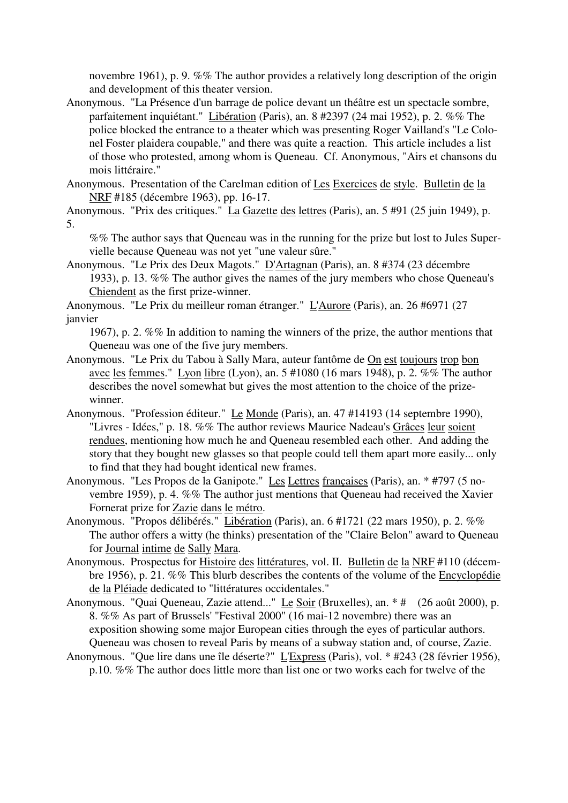novembre 1961), p. 9. %% The author provides a relatively long description of the origin and development of this theater version.

Anonymous. "La Présence d'un barrage de police devant un théâtre est un spectacle sombre, parfaitement inquiétant." Libération (Paris), an. 8 #2397 (24 mai 1952), p. 2. %% The police blocked the entrance to a theater which was presenting Roger Vailland's "Le Colonel Foster plaidera coupable," and there was quite a reaction. This article includes a list of those who protested, among whom is Queneau. Cf. Anonymous, "Airs et chansons du mois littéraire."

Anonymous. Presentation of the Carelman edition of Les Exercices de style. Bulletin de la NRF #185 (décembre 1963), pp. 16-17.

Anonymous. "Prix des critiques." La Gazette des lettres (Paris), an. 5 #91 (25 juin 1949), p. 5.

%% The author says that Queneau was in the running for the prize but lost to Jules Supervielle because Queneau was not yet "une valeur sûre."

Anonymous. "Le Prix des Deux Magots." D'Artagnan (Paris), an. 8 #374 (23 décembre 1933), p. 13. %% The author gives the names of the jury members who chose Queneau's Chiendent as the first prize-winner.

Anonymous. "Le Prix du meilleur roman étranger." L'Aurore (Paris), an. 26 #6971 (27 janvier

- 1967), p. 2. %% In addition to naming the winners of the prize, the author mentions that Queneau was one of the five jury members.
- Anonymous. "Le Prix du Tabou à Sally Mara, auteur fantôme de On est toujours trop bon avec les femmes." Lyon libre (Lyon), an. 5 #1080 (16 mars 1948), p. 2. %% The author describes the novel somewhat but gives the most attention to the choice of the prizewinner.
- Anonymous. "Profession éditeur." Le Monde (Paris), an. 47 #14193 (14 septembre 1990), "Livres - Idées," p. 18. %% The author reviews Maurice Nadeau's Grâces leur soient rendues, mentioning how much he and Queneau resembled each other. And adding the story that they bought new glasses so that people could tell them apart more easily... only to find that they had bought identical new frames.
- Anonymous. "Les Propos de la Ganipote." Les Lettres françaises (Paris), an. \* #797 (5 novembre 1959), p. 4. %% The author just mentions that Queneau had received the Xavier Fornerat prize for Zazie dans le métro.
- Anonymous. "Propos délibérés." Libération (Paris), an. 6 #1721 (22 mars 1950), p. 2. %% The author offers a witty (he thinks) presentation of the "Claire Belon" award to Queneau for Journal intime de Sally Mara.
- Anonymous. Prospectus for Histoire des littératures, vol. II. Bulletin de la NRF #110 (décembre 1956), p. 21. %% This blurb describes the contents of the volume of the Encyclopédie de la Pléiade dedicated to "littératures occidentales."
- Anonymous. "Quai Queneau, Zazie attend..." Le Soir (Bruxelles), an. \* # (26 août 2000), p. 8. %% As part of Brussels' "Festival 2000" (16 mai-12 novembre) there was an exposition showing some major European cities through the eyes of particular authors. Queneau was chosen to reveal Paris by means of a subway station and, of course, Zazie.
- Anonymous. "Que lire dans une île déserte?" L'Express (Paris), vol. \* #243 (28 février 1956), p.10. %% The author does little more than list one or two works each for twelve of the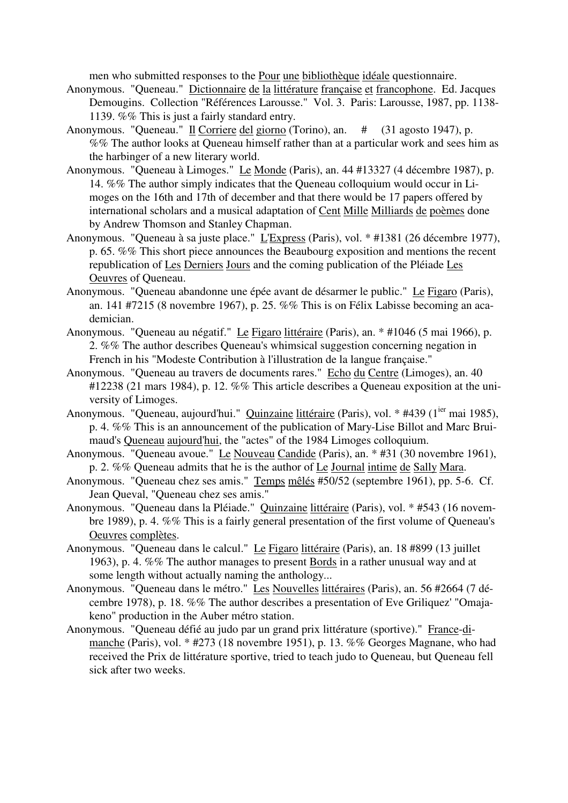men who submitted responses to the Pour une bibliothèque idéale questionnaire.

- Anonymous. "Queneau." Dictionnaire de la littérature française et francophone. Ed. Jacques Demougins. Collection "Références Larousse." Vol. 3. Paris: Larousse, 1987, pp. 1138- 1139. %% This is just a fairly standard entry.
- Anonymous. "Queneau." Il Corriere del giorno (Torino), an. # (31 agosto 1947), p. %% The author looks at Queneau himself rather than at a particular work and sees him as the harbinger of a new literary world.
- Anonymous. "Queneau à Limoges." Le Monde (Paris), an. 44 #13327 (4 décembre 1987), p. 14. %% The author simply indicates that the Queneau colloquium would occur in Limoges on the 16th and 17th of december and that there would be 17 papers offered by international scholars and a musical adaptation of Cent Mille Milliards de poèmes done by Andrew Thomson and Stanley Chapman.
- Anonymous. "Queneau à sa juste place." L'Express (Paris), vol. \* #1381 (26 décembre 1977), p. 65. %% This short piece announces the Beaubourg exposition and mentions the recent republication of Les Derniers Jours and the coming publication of the Pléiade Les Oeuvres of Queneau.
- Anonymous. "Queneau abandonne une épée avant de désarmer le public." Le Figaro (Paris), an. 141 #7215 (8 novembre 1967), p. 25. %% This is on Félix Labisse becoming an academician.
- Anonymous. "Queneau au négatif." Le Figaro littéraire (Paris), an. \* #1046 (5 mai 1966), p. 2. %% The author describes Queneau's whimsical suggestion concerning negation in French in his "Modeste Contribution à l'illustration de la langue française."
- Anonymous. "Queneau au travers de documents rares." Echo du Centre (Limoges), an. 40 #12238 (21 mars 1984), p. 12. %% This article describes a Queneau exposition at the university of Limoges.
- Anonymous. "Queneau, aujourd'hui." Quinzaine littéraire (Paris), vol. \* #439 (1<sup>ier</sup> mai 1985), p. 4. %% This is an announcement of the publication of Mary-Lise Billot and Marc Bruimaud's Queneau aujourd'hui, the "actes" of the 1984 Limoges colloquium.
- Anonymous. "Queneau avoue." Le Nouveau Candide (Paris), an. \* #31 (30 novembre 1961), p. 2. %% Queneau admits that he is the author of Le Journal intime de Sally Mara.
- Anonymous. "Queneau chez ses amis." Temps mêlés #50/52 (septembre 1961), pp. 5-6. Cf. Jean Queval, "Queneau chez ses amis."
- Anonymous. "Queneau dans la Pléiade." Quinzaine littéraire (Paris), vol. \* #543 (16 novembre 1989), p. 4. %% This is a fairly general presentation of the first volume of Queneau's Oeuvres complètes.
- Anonymous. "Queneau dans le calcul." Le Figaro littéraire (Paris), an. 18 #899 (13 juillet 1963), p. 4. %% The author manages to present Bords in a rather unusual way and at some length without actually naming the anthology...
- Anonymous. "Queneau dans le métro." Les Nouvelles littéraires (Paris), an. 56 #2664 (7 décembre 1978), p. 18. %% The author describes a presentation of Eve Griliquez' "Omajakeno" production in the Auber métro station.
- Anonymous. "Queneau défié au judo par un grand prix littérature (sportive)." France-dimanche (Paris), vol. \* #273 (18 novembre 1951), p. 13. %% Georges Magnane, who had received the Prix de littérature sportive, tried to teach judo to Queneau, but Queneau fell sick after two weeks.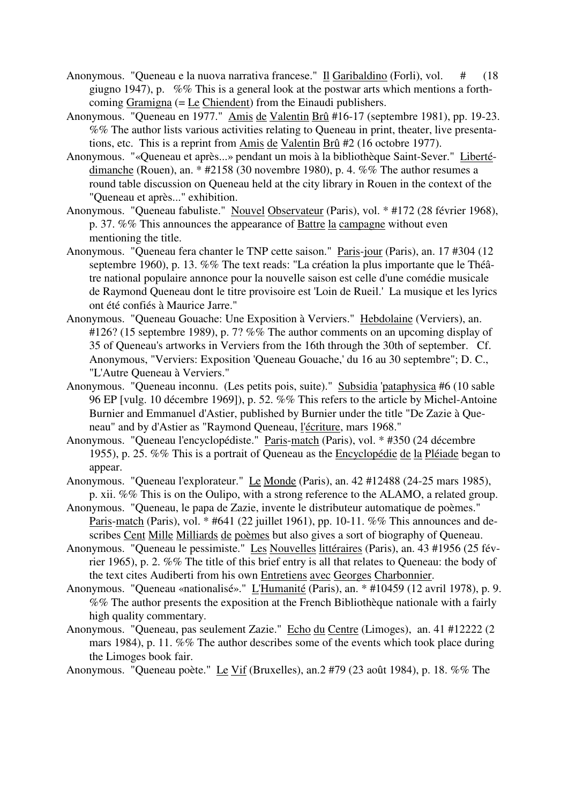- Anonymous. "Queneau e la nuova narrativa francese." Il Garibaldino (Forli), vol. # (18 giugno 1947), p. %% This is a general look at the postwar arts which mentions a forthcoming Gramigna (= Le Chiendent) from the Einaudi publishers.
- Anonymous. "Queneau en 1977." Amis de Valentin Brû #16-17 (septembre 1981), pp. 19-23. %% The author lists various activities relating to Queneau in print, theater, live presentations, etc. This is a reprint from Amis de Valentin Brû #2 (16 octobre 1977).
- Anonymous. "«Queneau et après...» pendant un mois à la bibliothèque Saint-Sever." Libertédimanche (Rouen), an. \* #2158 (30 novembre 1980), p. 4. %% The author resumes a round table discussion on Queneau held at the city library in Rouen in the context of the "Queneau et après..." exhibition.
- Anonymous. "Queneau fabuliste." Nouvel Observateur (Paris), vol. \* #172 (28 février 1968), p. 37. %% This announces the appearance of Battre la campagne without even mentioning the title.
- Anonymous. "Queneau fera chanter le TNP cette saison." Paris-jour (Paris), an. 17 #304 (12 septembre 1960), p. 13. %% The text reads: "La création la plus importante que le Théâtre national populaire annonce pour la nouvelle saison est celle d'une comédie musicale de Raymond Queneau dont le titre provisoire est 'Loin de Rueil.' La musique et les lyrics ont été confiés à Maurice Jarre."
- Anonymous. "Queneau Gouache: Une Exposition à Verviers." Hebdolaine (Verviers), an. #126? (15 septembre 1989), p. 7? %% The author comments on an upcoming display of 35 of Queneau's artworks in Verviers from the 16th through the 30th of september. Cf. Anonymous, "Verviers: Exposition 'Queneau Gouache,' du 16 au 30 septembre"; D. C., "L'Autre Queneau à Verviers."
- Anonymous. "Queneau inconnu. (Les petits pois, suite)." Subsidia 'pataphysica #6 (10 sable 96 EP [vulg. 10 décembre 1969]), p. 52. %% This refers to the article by Michel-Antoine Burnier and Emmanuel d'Astier, published by Burnier under the title "De Zazie à Queneau" and by d'Astier as "Raymond Queneau, l'écriture, mars 1968."
- Anonymous. "Queneau l'encyclopédiste." Paris-match (Paris), vol. \* #350 (24 décembre 1955), p. 25. %% This is a portrait of Queneau as the Encyclopédie de la Pléiade began to appear.
- Anonymous. "Queneau l'explorateur." Le Monde (Paris), an. 42 #12488 (24-25 mars 1985), p. xii. %% This is on the Oulipo, with a strong reference to the ALAMO, a related group.
- Anonymous. "Queneau, le papa de Zazie, invente le distributeur automatique de poèmes." Paris-match (Paris), vol. \* #641 (22 juillet 1961), pp. 10-11. %% This announces and describes Cent Mille Milliards de poèmes but also gives a sort of biography of Queneau.
- Anonymous. "Queneau le pessimiste." Les Nouvelles littéraires (Paris), an. 43 #1956 (25 février 1965), p. 2. %% The title of this brief entry is all that relates to Queneau: the body of the text cites Audiberti from his own Entretiens avec Georges Charbonnier.
- Anonymous. "Queneau «nationalisé»." L'Humanité (Paris), an. \* #10459 (12 avril 1978), p. 9. %% The author presents the exposition at the French Bibliothèque nationale with a fairly high quality commentary.
- Anonymous. "Queneau, pas seulement Zazie." Echo du Centre (Limoges), an. 41 #12222 (2 mars 1984), p. 11. %% The author describes some of the events which took place during the Limoges book fair.
- Anonymous. "Queneau poète." Le Vif (Bruxelles), an.2 #79 (23 août 1984), p. 18. %% The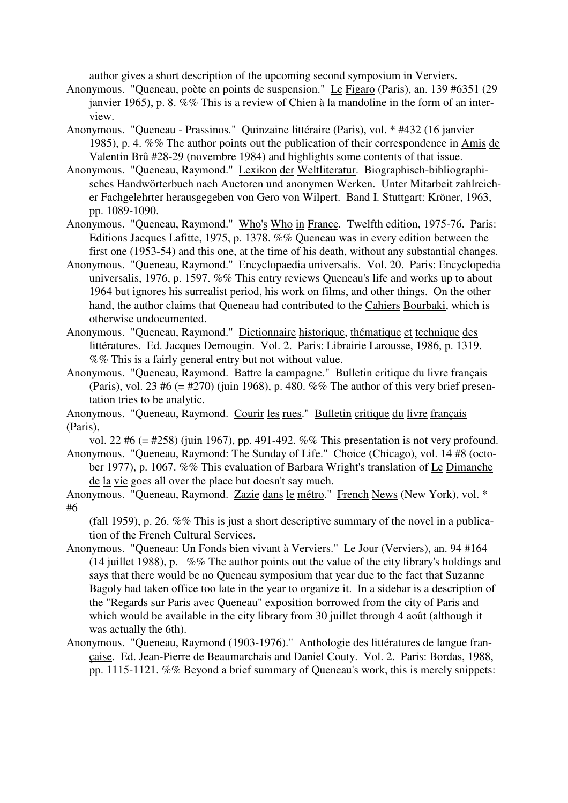author gives a short description of the upcoming second symposium in Verviers.

- Anonymous. "Queneau, poète en points de suspension." Le Figaro (Paris), an. 139 #6351 (29 janvier 1965), p. 8. %% This is a review of Chien à la mandoline in the form of an interview.
- Anonymous. "Queneau Prassinos." Quinzaine littéraire (Paris), vol. \* #432 (16 janvier 1985), p. 4. %% The author points out the publication of their correspondence in Amis de Valentin Brû #28-29 (novembre 1984) and highlights some contents of that issue.
- Anonymous. "Queneau, Raymond." Lexikon der Weltliteratur. Biographisch-bibliographisches Handwörterbuch nach Auctoren und anonymen Werken. Unter Mitarbeit zahlreicher Fachgelehrter herausgegeben von Gero von Wilpert. Band I. Stuttgart: Kröner, 1963, pp. 1089-1090.
- Anonymous. "Queneau, Raymond." Who's Who in France. Twelfth edition, 1975-76. Paris: Editions Jacques Lafitte, 1975, p. 1378. %% Queneau was in every edition between the first one (1953-54) and this one, at the time of his death, without any substantial changes.
- Anonymous. "Queneau, Raymond." Encyclopaedia universalis. Vol. 20. Paris: Encyclopedia universalis, 1976, p. 1597. %% This entry reviews Queneau's life and works up to about 1964 but ignores his surrealist period, his work on films, and other things. On the other hand, the author claims that Queneau had contributed to the Cahiers Bourbaki, which is otherwise undocumented.
- Anonymous. "Queneau, Raymond." Dictionnaire historique, thématique et technique des littératures. Ed. Jacques Demougin. Vol. 2. Paris: Librairie Larousse, 1986, p. 1319. %% This is a fairly general entry but not without value.
- Anonymous. "Queneau, Raymond. Battre la campagne." Bulletin critique du livre français (Paris), vol. 23 #6 (= #270) (juin 1968), p. 480. %% The author of this very brief presentation tries to be analytic.

Anonymous. "Queneau, Raymond. Courir les rues." Bulletin critique du livre français (Paris),

vol. 22 #6 (= #258) (juin 1967), pp. 491-492. %% This presentation is not very profound. Anonymous. "Queneau, Raymond: The Sunday of Life." Choice (Chicago), vol. 14 #8 (october 1977), p. 1067. %% This evaluation of Barbara Wright's translation of Le Dimanche

de la vie goes all over the place but doesn't say much.

Anonymous. "Queneau, Raymond. Zazie dans le métro." French News (New York), vol. \* #6

(fall 1959), p. 26. %% This is just a short descriptive summary of the novel in a publication of the French Cultural Services.

- Anonymous. "Queneau: Un Fonds bien vivant à Verviers." Le Jour (Verviers), an. 94 #164 (14 juillet 1988), p. %% The author points out the value of the city library's holdings and says that there would be no Queneau symposium that year due to the fact that Suzanne Bagoly had taken office too late in the year to organize it. In a sidebar is a description of the "Regards sur Paris avec Queneau" exposition borrowed from the city of Paris and which would be available in the city library from 30 juillet through 4 août (although it was actually the 6th).
- Anonymous. "Queneau, Raymond (1903-1976)." Anthologie des littératures de langue française. Ed. Jean-Pierre de Beaumarchais and Daniel Couty. Vol. 2. Paris: Bordas, 1988, pp. 1115-1121. %% Beyond a brief summary of Queneau's work, this is merely snippets: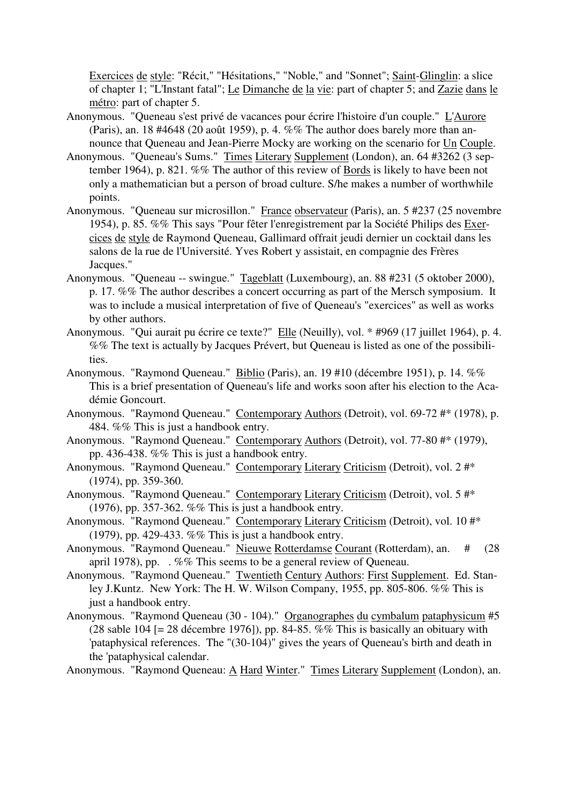Exercices de style: "Récit," "Hésitations," "Noble," and "Sonnet"; Saint-Glinglin: a slice of chapter 1; "L'Instant fatal"; Le Dimanche de la vie: part of chapter 5; and Zazie dans le métro: part of chapter 5.

- Anonymous. "Queneau s'est privé de vacances pour écrire l'histoire d'un couple." L'Aurore (Paris), an. 18 #4648 (20 août 1959), p. 4. %% The author does barely more than announce that Queneau and Jean-Pierre Mocky are working on the scenario for Un Couple.
- Anonymous. "Queneau's Sums." Times Literary Supplement (London), an. 64 #3262 (3 september 1964), p. 821. %% The author of this review of Bords is likely to have been not only a mathematician but a person of broad culture. S/he makes a number of worthwhile points.
- Anonymous. "Queneau sur microsillon." France observateur (Paris), an. 5 #237 (25 novembre 1954), p. 85. %% This says "Pour fêter l'enregistrement par la Société Philips des Exercices de style de Raymond Queneau, Gallimard offrait jeudi dernier un cocktail dans les salons de la rue de l'Université. Yves Robert y assistait, en compagnie des Frères Jacques."
- Anonymous. "Queneau -- swingue." Tageblatt (Luxembourg), an. 88 #231 (5 oktober 2000), p. 17. %% The author describes a concert occurring as part of the Mersch symposium. It was to include a musical interpretation of five of Queneau's "exercices" as well as works by other authors.
- Anonymous. "Qui aurait pu écrire ce texte?" Elle (Neuilly), vol. \* #969 (17 juillet 1964), p. 4. %% The text is actually by Jacques Prévert, but Queneau is listed as one of the possibilities.
- Anonymous. "Raymond Queneau." Biblio (Paris), an. 19 #10 (décembre 1951), p. 14. %% This is a brief presentation of Queneau's life and works soon after his election to the Académie Goncourt.
- Anonymous. "Raymond Queneau." Contemporary Authors (Detroit), vol. 69-72 #\* (1978), p. 484. %% This is just a handbook entry.
- Anonymous. "Raymond Queneau." Contemporary Authors (Detroit), vol. 77-80 #\* (1979), pp. 436-438. %% This is just a handbook entry.
- Anonymous. "Raymond Queneau." Contemporary Literary Criticism (Detroit), vol. 2 #\* (1974), pp. 359-360.
- Anonymous. "Raymond Queneau." Contemporary Literary Criticism (Detroit), vol. 5 #\* (1976), pp. 357-362. %% This is just a handbook entry.
- Anonymous. "Raymond Queneau." Contemporary Literary Criticism (Detroit), vol. 10 #\* (1979), pp. 429-433. %% This is just a handbook entry.
- Anonymous. "Raymond Queneau." Nieuwe Rotterdamse Courant (Rotterdam), an. # (28 april 1978), pp. . %% This seems to be a general review of Queneau.
- Anonymous. "Raymond Queneau." Twentieth Century Authors: First Supplement. Ed. Stanley J.Kuntz. New York: The H. W. Wilson Company, 1955, pp. 805-806. %% This is just a handbook entry.
- Anonymous. "Raymond Queneau (30 104)." Organographes du cymbalum pataphysicum #5 (28 sable 104 [= 28 décembre 1976]), pp. 84-85. %% This is basically an obituary with 'pataphysical references. The "(30-104)" gives the years of Queneau's birth and death in the 'pataphysical calendar.

Anonymous. "Raymond Queneau: A Hard Winter." Times Literary Supplement (London), an.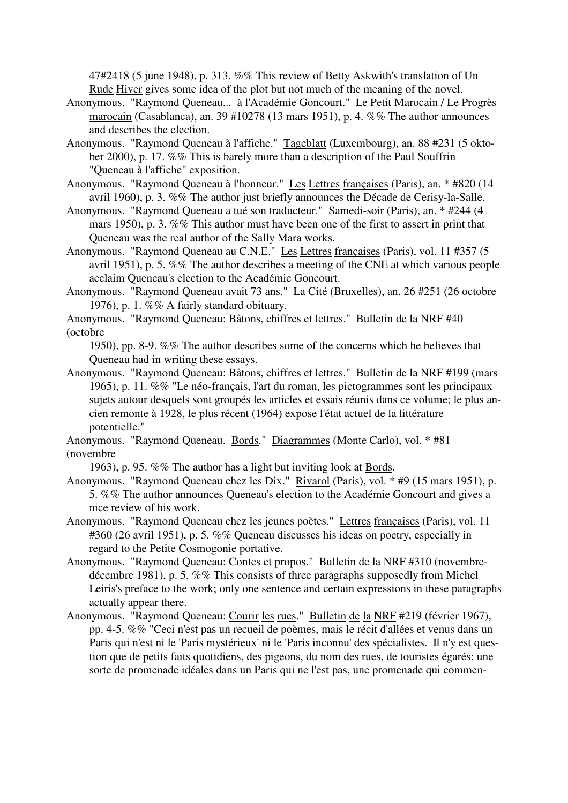47#2418 (5 june 1948), p. 313. %% This review of Betty Askwith's translation of Un Rude Hiver gives some idea of the plot but not much of the meaning of the novel.

- Anonymous. "Raymond Queneau... à l'Académie Goncourt." Le Petit Marocain / Le Progrès marocain (Casablanca), an. 39 #10278 (13 mars 1951), p. 4. %% The author announces and describes the election.
- Anonymous. "Raymond Queneau à l'affiche." Tageblatt (Luxembourg), an. 88 #231 (5 oktober 2000), p. 17. %% This is barely more than a description of the Paul Souffrin "Queneau à l'affiche" exposition.

Anonymous. "Raymond Queneau à l'honneur." Les Lettres françaises (Paris), an. \* #820 (14 avril 1960), p. 3. %% The author just briefly announces the Décade de Cerisy-la-Salle.

- Anonymous. "Raymond Queneau a tué son traducteur." Samedi-soir (Paris), an. \* #244 (4 mars 1950), p. 3. %% This author must have been one of the first to assert in print that Queneau was the real author of the Sally Mara works.
- Anonymous. "Raymond Queneau au C.N.E." Les Lettres françaises (Paris), vol. 11 #357 (5 avril 1951), p. 5. %% The author describes a meeting of the CNE at which various people acclaim Queneau's election to the Académie Goncourt.
- Anonymous. "Raymond Queneau avait 73 ans." La Cité (Bruxelles), an. 26 #251 (26 octobre 1976), p. 1. %% A fairly standard obituary.
- Anonymous. "Raymond Queneau: Bâtons, chiffres et lettres." Bulletin de la NRF #40 (octobre

1950), pp. 8-9. %% The author describes some of the concerns which he believes that Queneau had in writing these essays.

Anonymous. "Raymond Queneau: Bâtons, chiffres et lettres." Bulletin de la NRF #199 (mars 1965), p. 11. %% "Le néo-français, l'art du roman, les pictogrammes sont les principaux sujets autour desquels sont groupés les articles et essais réunis dans ce volume; le plus ancien remonte à 1928, le plus récent (1964) expose l'état actuel de la littérature potentielle."

Anonymous. "Raymond Queneau. Bords." Diagrammes (Monte Carlo), vol. \* #81 (novembre

1963), p. 95. %% The author has a light but inviting look at Bords.

- Anonymous. "Raymond Queneau chez les Dix." Rivarol (Paris), vol. \* #9 (15 mars 1951), p. 5. %% The author announces Queneau's election to the Académie Goncourt and gives a nice review of his work.
- Anonymous. "Raymond Queneau chez les jeunes poètes." Lettres françaises (Paris), vol. 11 #360 (26 avril 1951), p. 5. %% Queneau discusses his ideas on poetry, especially in regard to the Petite Cosmogonie portative.
- Anonymous. "Raymond Queneau: Contes et propos." Bulletin de la NRF #310 (novembredécembre 1981), p. 5. %% This consists of three paragraphs supposedly from Michel Leiris's preface to the work; only one sentence and certain expressions in these paragraphs actually appear there.
- Anonymous. "Raymond Queneau: Courir les rues." Bulletin de la NRF #219 (février 1967), pp. 4-5. %% "Ceci n'est pas un recueil de poèmes, mais le récit d'allées et venus dans un Paris qui n'est ni le 'Paris mystérieux' ni le 'Paris inconnu' des spécialistes. Il n'y est question que de petits faits quotidiens, des pigeons, du nom des rues, de touristes égarés: une sorte de promenade idéales dans un Paris qui ne l'est pas, une promenade qui commen-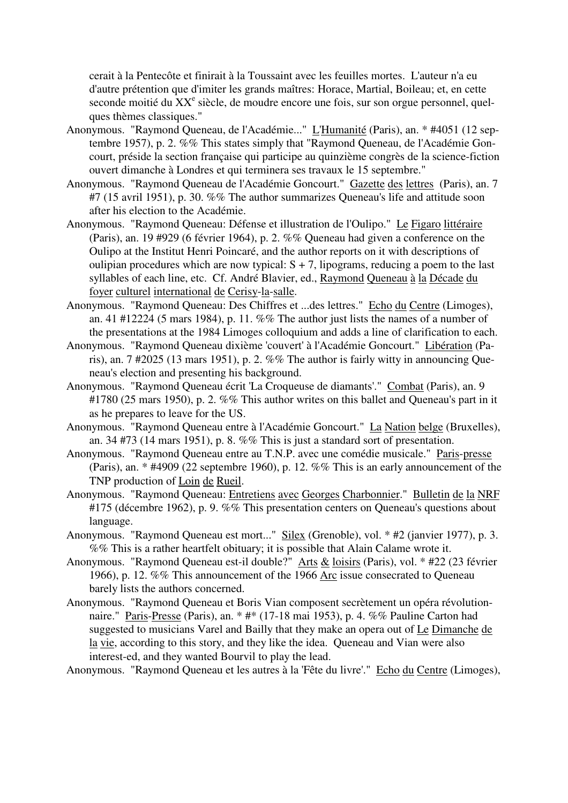cerait à la Pentecôte et finirait à la Toussaint avec les feuilles mortes. L'auteur n'a eu d'autre prétention que d'imiter les grands maîtres: Horace, Martial, Boileau; et, en cette seconde moitié du XX<sup>e</sup> siècle, de moudre encore une fois, sur son orgue personnel, quelques thèmes classiques."

- Anonymous. "Raymond Queneau, de l'Académie..." L'Humanité (Paris), an. \* #4051 (12 septembre 1957), p. 2. %% This states simply that "Raymond Queneau, de l'Académie Goncourt, préside la section française qui participe au quinzième congrès de la science-fiction ouvert dimanche à Londres et qui terminera ses travaux le 15 septembre."
- Anonymous. "Raymond Queneau de l'Académie Goncourt." Gazette des lettres (Paris), an. 7 #7 (15 avril 1951), p. 30. %% The author summarizes Queneau's life and attitude soon after his election to the Académie.
- Anonymous. "Raymond Queneau: Défense et illustration de l'Oulipo." Le Figaro littéraire (Paris), an. 19 #929 (6 février 1964), p. 2. %% Queneau had given a conference on the Oulipo at the Institut Henri Poincaré, and the author reports on it with descriptions of oulipian procedures which are now typical:  $S + 7$ , lipograms, reducing a poem to the last syllables of each line, etc. Cf. André Blavier, ed., Raymond Queneau à la Décade du foyer culturel international de Cerisy-la-salle.
- Anonymous. "Raymond Queneau: Des Chiffres et ...des lettres." Echo du Centre (Limoges), an. 41 #12224 (5 mars 1984), p. 11. %% The author just lists the names of a number of the presentations at the 1984 Limoges colloquium and adds a line of clarification to each.
- Anonymous. "Raymond Queneau dixième 'couvert' à l'Académie Goncourt." Libération (Paris), an. 7 #2025 (13 mars 1951), p. 2. %% The author is fairly witty in announcing Queneau's election and presenting his background.
- Anonymous. "Raymond Queneau écrit 'La Croqueuse de diamants'." Combat (Paris), an. 9 #1780 (25 mars 1950), p. 2. %% This author writes on this ballet and Queneau's part in it as he prepares to leave for the US.
- Anonymous. "Raymond Queneau entre à l'Académie Goncourt." La Nation belge (Bruxelles), an. 34 #73 (14 mars 1951), p. 8. %% This is just a standard sort of presentation.
- Anonymous. "Raymond Queneau entre au T.N.P. avec une comédie musicale." Paris-presse (Paris), an. \* #4909 (22 septembre 1960), p. 12. %% This is an early announcement of the TNP production of Loin de Rueil.
- Anonymous. "Raymond Queneau: Entretiens avec Georges Charbonnier." Bulletin de la NRF #175 (décembre 1962), p. 9. %% This presentation centers on Queneau's questions about language.
- Anonymous. "Raymond Queneau est mort..." Silex (Grenoble), vol. \* #2 (janvier 1977), p. 3. %% This is a rather heartfelt obituary; it is possible that Alain Calame wrote it.
- Anonymous. "Raymond Queneau est-il double?" Arts & loisirs (Paris), vol. \* #22 (23 février 1966), p. 12. %% This announcement of the 1966 Arc issue consecrated to Queneau barely lists the authors concerned.
- Anonymous. "Raymond Queneau et Boris Vian composent secrètement un opéra révolutionnaire." Paris-Presse (Paris), an. \* #\* (17-18 mai 1953), p. 4. %% Pauline Carton had suggested to musicians Varel and Bailly that they make an opera out of Le Dimanche de la vie, according to this story, and they like the idea. Queneau and Vian were also interest-ed, and they wanted Bourvil to play the lead.

Anonymous. "Raymond Queneau et les autres à la 'Fête du livre'." Echo du Centre (Limoges),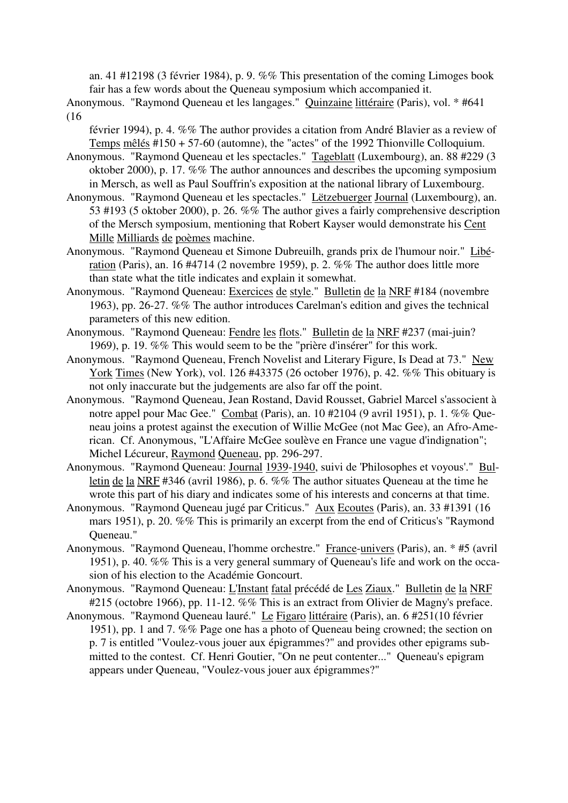an. 41 #12198 (3 février 1984), p. 9. %% This presentation of the coming Limoges book fair has a few words about the Queneau symposium which accompanied it.

Anonymous. "Raymond Queneau et les langages." Quinzaine littéraire (Paris), vol. \* #641 (16

février 1994), p. 4. %% The author provides a citation from André Blavier as a review of Temps mêlés #150 + 57-60 (automne), the "actes" of the 1992 Thionville Colloquium.

Anonymous. "Raymond Queneau et les spectacles." Tageblatt (Luxembourg), an. 88 #229 (3 oktober 2000), p. 17. %% The author announces and describes the upcoming symposium in Mersch, as well as Paul Souffrin's exposition at the national library of Luxembourg.

- Anonymous. "Raymond Queneau et les spectacles." Lëtzebuerger Journal (Luxembourg), an. 53 #193 (5 oktober 2000), p. 26. %% The author gives a fairly comprehensive description of the Mersch symposium, mentioning that Robert Kayser would demonstrate his Cent Mille Milliards de poèmes machine.
- Anonymous. "Raymond Queneau et Simone Dubreuilh, grands prix de l'humour noir." Libération (Paris), an. 16 #4714 (2 novembre 1959), p. 2. %% The author does little more than state what the title indicates and explain it somewhat.
- Anonymous. "Raymond Queneau: Exercices de style." Bulletin de la NRF #184 (novembre 1963), pp. 26-27. %% The author introduces Carelman's edition and gives the technical parameters of this new edition.
- Anonymous. "Raymond Queneau: Fendre les flots." Bulletin de la NRF #237 (mai-juin? 1969), p. 19. %% This would seem to be the "prière d'insérer" for this work.
- Anonymous. "Raymond Queneau, French Novelist and Literary Figure, Is Dead at 73." New York Times (New York), vol. 126 #43375 (26 october 1976), p. 42. %% This obituary is not only inaccurate but the judgements are also far off the point.
- Anonymous. "Raymond Queneau, Jean Rostand, David Rousset, Gabriel Marcel s'associent à notre appel pour Mac Gee." Combat (Paris), an. 10 #2104 (9 avril 1951), p. 1. %% Queneau joins a protest against the execution of Willie McGee (not Mac Gee), an Afro-American. Cf. Anonymous, "L'Affaire McGee soulève en France une vague d'indignation"; Michel Lécureur, Raymond Queneau, pp. 296-297.
- Anonymous. "Raymond Queneau: Journal 1939-1940, suivi de 'Philosophes et voyous'." Bulletin de la NRF #346 (avril 1986), p. 6. %% The author situates Queneau at the time he wrote this part of his diary and indicates some of his interests and concerns at that time.
- Anonymous. "Raymond Queneau jugé par Criticus." Aux Ecoutes (Paris), an. 33 #1391 (16 mars 1951), p. 20. %% This is primarily an excerpt from the end of Criticus's "Raymond Queneau."
- Anonymous. "Raymond Queneau, l'homme orchestre." France-univers (Paris), an. \* #5 (avril 1951), p. 40. %% This is a very general summary of Queneau's life and work on the occasion of his election to the Académie Goncourt.
- Anonymous. "Raymond Queneau: L'Instant fatal précédé de Les Ziaux." Bulletin de la NRF #215 (octobre 1966), pp. 11-12. %% This is an extract from Olivier de Magny's preface.
- Anonymous. "Raymond Queneau lauré." Le Figaro littéraire (Paris), an. 6 #251(10 février 1951), pp. 1 and 7. %% Page one has a photo of Queneau being crowned; the section on p. 7 is entitled "Voulez-vous jouer aux épigrammes?" and provides other epigrams submitted to the contest. Cf. Henri Goutier, "On ne peut contenter..." Queneau's epigram appears under Queneau, "Voulez-vous jouer aux épigrammes?"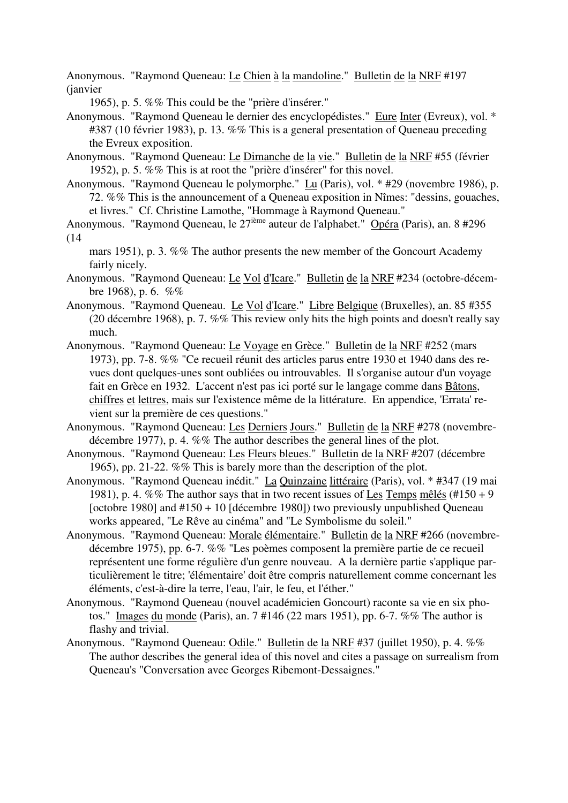Anonymous. "Raymond Queneau: Le Chien à la mandoline." Bulletin de la NRF #197 (janvier

1965), p. 5. %% This could be the "prière d'insérer."

Anonymous. "Raymond Queneau le dernier des encyclopédistes." Eure Inter (Evreux), vol. \* #387 (10 février 1983), p. 13. %% This is a general presentation of Queneau preceding the Evreux exposition.

Anonymous. "Raymond Queneau: Le Dimanche de la vie." Bulletin de la NRF #55 (février 1952), p. 5. %% This is at root the "prière d'insérer" for this novel.

Anonymous. "Raymond Queneau le polymorphe." Lu (Paris), vol. \* #29 (novembre 1986), p. 72. %% This is the announcement of a Queneau exposition in Nîmes: "dessins, gouaches, et livres." Cf. Christine Lamothe, "Hommage à Raymond Queneau."

Anonymous. "Raymond Queneau, le 27ième auteur de l'alphabet." Opéra (Paris), an. 8 #296 (14

mars 1951), p. 3. %% The author presents the new member of the Goncourt Academy fairly nicely.

Anonymous. "Raymond Queneau: Le Vol d'Icare." Bulletin de la NRF #234 (octobre-décembre 1968), p. 6.  $%$ 

Anonymous. "Raymond Queneau. Le Vol d'Icare." Libre Belgique (Bruxelles), an. 85 #355 (20 décembre 1968), p. 7. %% This review only hits the high points and doesn't really say much.

- Anonymous. "Raymond Queneau: Le Voyage en Grèce." Bulletin de la NRF #252 (mars 1973), pp. 7-8. %% "Ce recueil réunit des articles parus entre 1930 et 1940 dans des revues dont quelques-unes sont oubliées ou introuvables. Il s'organise autour d'un voyage fait en Grèce en 1932. L'accent n'est pas ici porté sur le langage comme dans Bâtons, chiffres et lettres, mais sur l'existence même de la littérature. En appendice, 'Errata' revient sur la première de ces questions."
- Anonymous. "Raymond Queneau: Les Derniers Jours." Bulletin de la NRF #278 (novembredécembre 1977), p. 4. %% The author describes the general lines of the plot.
- Anonymous. "Raymond Queneau: Les Fleurs bleues." Bulletin de la NRF #207 (décembre 1965), pp. 21-22. %% This is barely more than the description of the plot.
- Anonymous. "Raymond Queneau inédit." La Quinzaine littéraire (Paris), vol. \* #347 (19 mai 1981), p. 4. %% The author says that in two recent issues of Les Temps mêlés (#150 + 9 [octobre 1980] and  $\#150 + 10$  [décembre 1980]) two previously unpublished Queneau works appeared, "Le Rêve au cinéma" and "Le Symbolisme du soleil."
- Anonymous. "Raymond Queneau: Morale élémentaire." Bulletin de la NRF #266 (novembredécembre 1975), pp. 6-7. %% "Les poèmes composent la première partie de ce recueil représentent une forme régulière d'un genre nouveau. A la dernière partie s'applique particulièrement le titre; 'élémentaire' doit être compris naturellement comme concernant les éléments, c'est-à-dire la terre, l'eau, l'air, le feu, et l'éther."
- Anonymous. "Raymond Queneau (nouvel académicien Goncourt) raconte sa vie en six photos." Images du monde (Paris), an. 7 #146 (22 mars 1951), pp. 6-7. %% The author is flashy and trivial.
- Anonymous. "Raymond Queneau: Odile." Bulletin de la NRF #37 (juillet 1950), p. 4. %% The author describes the general idea of this novel and cites a passage on surrealism from Queneau's "Conversation avec Georges Ribemont-Dessaignes."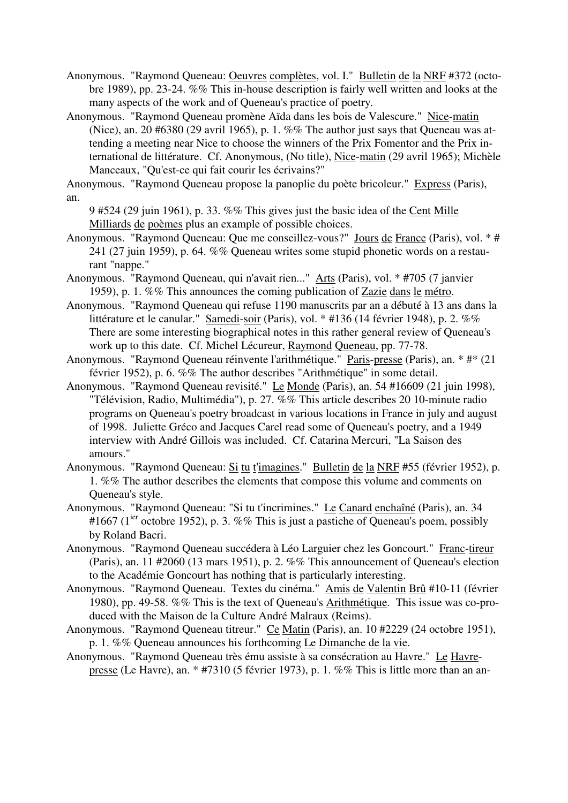Anonymous. "Raymond Queneau: Oeuvres complètes, vol. I." Bulletin de la NRF #372 (octobre 1989), pp. 23-24. %% This in-house description is fairly well written and looks at the many aspects of the work and of Queneau's practice of poetry.

Anonymous. "Raymond Queneau promène Aïda dans les bois de Valescure." Nice-matin (Nice), an. 20 #6380 (29 avril 1965), p. 1. %% The author just says that Queneau was attending a meeting near Nice to choose the winners of the Prix Fomentor and the Prix international de littérature. Cf. Anonymous, (No title), Nice-matin (29 avril 1965); Michèle Manceaux, "Qu'est-ce qui fait courir les écrivains?"

Anonymous. "Raymond Queneau propose la panoplie du poète bricoleur." Express (Paris), an.

- 9 #524 (29 juin 1961), p. 33. %% This gives just the basic idea of the Cent Mille Milliards de poèmes plus an example of possible choices.
- Anonymous. "Raymond Queneau: Que me conseillez-vous?" Jours de France (Paris), vol. \* # 241 (27 juin 1959), p. 64. %% Queneau writes some stupid phonetic words on a restaurant "nappe."
- Anonymous. "Raymond Queneau, qui n'avait rien..." Arts (Paris), vol. \* #705 (7 janvier 1959), p. 1. %% This announces the coming publication of Zazie dans le métro.
- Anonymous. "Raymond Queneau qui refuse 1190 manuscrits par an a débuté à 13 ans dans la littérature et le canular." Samedi-soir (Paris), vol. \* #136 (14 février 1948), p. 2. %% There are some interesting biographical notes in this rather general review of Queneau's work up to this date. Cf. Michel Lécureur, Raymond Queneau, pp. 77-78.
- Anonymous. "Raymond Queneau réinvente l'arithmétique." Paris-presse (Paris), an. \* #\* (21 février 1952), p. 6. %% The author describes "Arithmétique" in some detail.
- Anonymous. "Raymond Queneau revisité." Le Monde (Paris), an. 54 #16609 (21 juin 1998), "Télévision, Radio, Multimédia"), p. 27. %% This article describes 20 10-minute radio programs on Queneau's poetry broadcast in various locations in France in july and august of 1998. Juliette Gréco and Jacques Carel read some of Queneau's poetry, and a 1949 interview with André Gillois was included. Cf. Catarina Mercuri, "La Saison des amours."
- Anonymous. "Raymond Queneau: Si tu t'imagines." Bulletin de la NRF #55 (février 1952), p. 1. %% The author describes the elements that compose this volume and comments on Queneau's style.
- Anonymous. "Raymond Queneau: "Si tu t'incrimines." Le Canard enchaîné (Paris), an. 34 #1667 (1<sup>ier</sup> octobre 1952), p. 3. %% This is just a pastiche of Queneau's poem, possibly by Roland Bacri.
- Anonymous. "Raymond Queneau succédera à Léo Larguier chez les Goncourt." Franc-tireur (Paris), an. 11 #2060 (13 mars 1951), p. 2. %% This announcement of Queneau's election to the Académie Goncourt has nothing that is particularly interesting.
- Anonymous. "Raymond Queneau. Textes du cinéma." Amis de Valentin Brû #10-11 (février 1980), pp. 49-58. %% This is the text of Queneau's Arithmétique. This issue was co-produced with the Maison de la Culture André Malraux (Reims).
- Anonymous. "Raymond Queneau titreur." Ce Matin (Paris), an. 10 #2229 (24 octobre 1951), p. 1. %% Queneau announces his forthcoming Le Dimanche de la vie.
- Anonymous. "Raymond Queneau très ému assiste à sa consécration au Havre." Le Havrepresse (Le Havre), an. \* #7310 (5 février 1973), p. 1. %% This is little more than an an-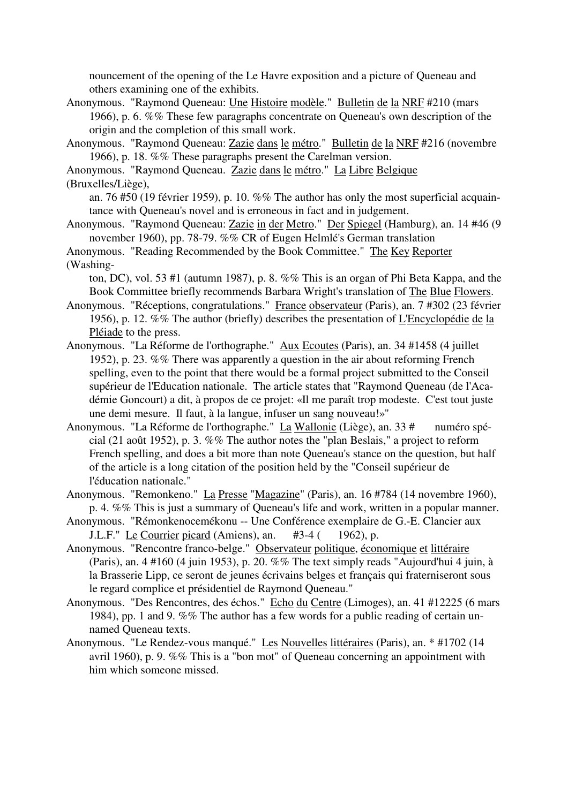nouncement of the opening of the Le Havre exposition and a picture of Queneau and others examining one of the exhibits.

- Anonymous. "Raymond Queneau: Une Histoire modèle." Bulletin de la NRF #210 (mars 1966), p. 6. %% These few paragraphs concentrate on Queneau's own description of the origin and the completion of this small work.
- Anonymous. "Raymond Queneau: Zazie dans le métro." Bulletin de la NRF #216 (novembre 1966), p. 18. %% These paragraphs present the Carelman version.
- Anonymous. "Raymond Queneau. Zazie dans le métro." La Libre Belgique

(Bruxelles/Liège),

an. 76 #50 (19 février 1959), p. 10. %% The author has only the most superficial acquaintance with Queneau's novel and is erroneous in fact and in judgement.

Anonymous. "Raymond Queneau: Zazie in der Metro." Der Spiegel (Hamburg), an. 14 #46 (9 november 1960), pp. 78-79. %% CR of Eugen Helmlé's German translation

Anonymous. "Reading Recommended by the Book Committee." The Key Reporter (Washing-

ton, DC), vol. 53 #1 (autumn 1987), p. 8. %% This is an organ of Phi Beta Kappa, and the Book Committee briefly recommends Barbara Wright's translation of The Blue Flowers.

- Anonymous. "Réceptions, congratulations." France observateur (Paris), an. 7 #302 (23 février 1956), p. 12. %% The author (briefly) describes the presentation of L'Encyclopédie de la Pléiade to the press.
- Anonymous. "La Réforme de l'orthographe." Aux Ecoutes (Paris), an. 34 #1458 (4 juillet 1952), p. 23. %% There was apparently a question in the air about reforming French spelling, even to the point that there would be a formal project submitted to the Conseil supérieur de l'Education nationale. The article states that "Raymond Queneau (de l'Académie Goncourt) a dit, à propos de ce projet: «Il me paraît trop modeste. C'est tout juste une demi mesure. Il faut, à la langue, infuser un sang nouveau!»"
- Anonymous. "La Réforme de l'orthographe." La Wallonie (Liège), an. 33 # numéro spécial (21 août 1952), p. 3. %% The author notes the "plan Beslais," a project to reform French spelling, and does a bit more than note Queneau's stance on the question, but half of the article is a long citation of the position held by the "Conseil supérieur de l'éducation nationale."
- Anonymous. "Remonkeno." La Presse "Magazine" (Paris), an. 16 #784 (14 novembre 1960), p. 4. %% This is just a summary of Queneau's life and work, written in a popular manner.
- Anonymous. "Rémonkenocemékonu -- Une Conférence exemplaire de G.-E. Clancier aux J.L.F." Le Courrier picard (Amiens), an. #3-4 ( 1962), p.
- Anonymous. "Rencontre franco-belge." Observateur politique, économique et littéraire (Paris), an. 4 #160 (4 juin 1953), p. 20. %% The text simply reads "Aujourd'hui 4 juin, à la Brasserie Lipp, ce seront de jeunes écrivains belges et français qui fraterniseront sous le regard complice et présidentiel de Raymond Queneau."
- Anonymous. "Des Rencontres, des échos." Echo du Centre (Limoges), an. 41 #12225 (6 mars 1984), pp. 1 and 9. %% The author has a few words for a public reading of certain unnamed Queneau texts.
- Anonymous. "Le Rendez-vous manqué." Les Nouvelles littéraires (Paris), an. \* #1702 (14 avril 1960), p. 9. %% This is a "bon mot" of Queneau concerning an appointment with him which someone missed.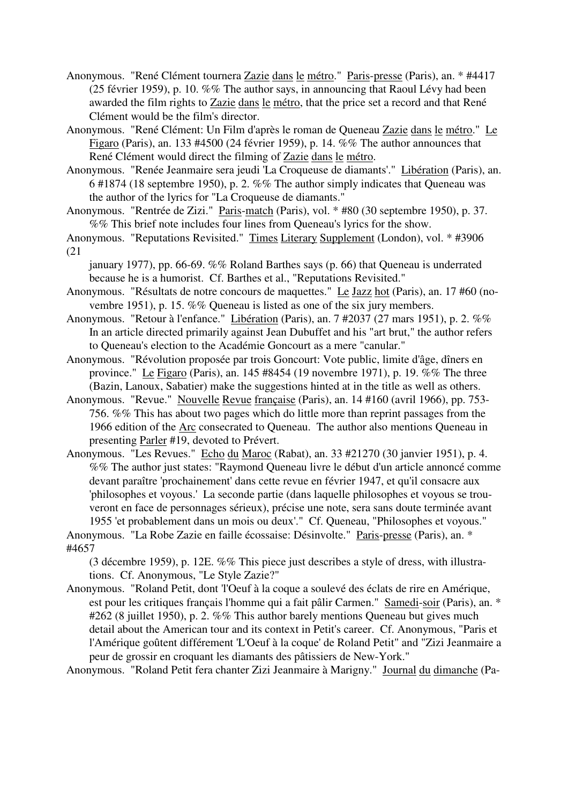- Anonymous. "René Clément tournera Zazie dans le métro." Paris-presse (Paris), an. \* #4417 (25 février 1959), p. 10. %% The author says, in announcing that Raoul Lévy had been awarded the film rights to Zazie dans le métro, that the price set a record and that René Clément would be the film's director.
- Anonymous. "René Clément: Un Film d'après le roman de Queneau Zazie dans le métro." Le Figaro (Paris), an. 133 #4500 (24 février 1959), p. 14. %% The author announces that René Clément would direct the filming of Zazie dans le métro.
- Anonymous. "Renée Jeanmaire sera jeudi 'La Croqueuse de diamants'." Libération (Paris), an. 6 #1874 (18 septembre 1950), p. 2. %% The author simply indicates that Queneau was the author of the lyrics for "La Croqueuse de diamants."

Anonymous. "Rentrée de Zizi." Paris-match (Paris), vol. \* #80 (30 septembre 1950), p. 37. %% This brief note includes four lines from Queneau's lyrics for the show.

- Anonymous. "Reputations Revisited." Times Literary Supplement (London), vol. \* #3906 (21
	- january 1977), pp. 66-69. %% Roland Barthes says (p. 66) that Queneau is underrated because he is a humorist. Cf. Barthes et al., "Reputations Revisited."
- Anonymous. "Résultats de notre concours de maquettes." Le Jazz hot (Paris), an. 17 #60 (novembre 1951), p. 15. %% Queneau is listed as one of the six jury members.
- Anonymous. "Retour à l'enfance." Libération (Paris), an. 7 #2037 (27 mars 1951), p. 2. %% In an article directed primarily against Jean Dubuffet and his "art brut," the author refers to Queneau's election to the Académie Goncourt as a mere "canular."
- Anonymous. "Révolution proposée par trois Goncourt: Vote public, limite d'âge, dîners en province." Le Figaro (Paris), an. 145 #8454 (19 novembre 1971), p. 19. %% The three (Bazin, Lanoux, Sabatier) make the suggestions hinted at in the title as well as others.
- Anonymous. "Revue." Nouvelle Revue française (Paris), an. 14 #160 (avril 1966), pp. 753- 756. %% This has about two pages which do little more than reprint passages from the 1966 edition of the Arc consecrated to Queneau. The author also mentions Queneau in presenting Parler #19, devoted to Prévert.
- Anonymous. "Les Revues." Echo du Maroc (Rabat), an. 33 #21270 (30 janvier 1951), p. 4. %% The author just states: "Raymond Queneau livre le début d'un article annoncé comme devant paraître 'prochainement' dans cette revue en février 1947, et qu'il consacre aux 'philosophes et voyous.' La seconde partie (dans laquelle philosophes et voyous se trouveront en face de personnages sérieux), précise une note, sera sans doute terminée avant 1955 'et probablement dans un mois ou deux'." Cf. Queneau, "Philosophes et voyous."
- Anonymous. "La Robe Zazie en faille écossaise: Désinvolte." Paris-presse (Paris), an. \* #4657

(3 décembre 1959), p. 12E. %% This piece just describes a style of dress, with illustrations. Cf. Anonymous, "Le Style Zazie?"

Anonymous. "Roland Petit, dont 'l'Oeuf à la coque a soulevé des éclats de rire en Amérique, est pour les critiques français l'homme qui a fait pâlir Carmen." Samedi-soir (Paris), an. \* #262 (8 juillet 1950), p. 2. %% This author barely mentions Queneau but gives much detail about the American tour and its context in Petit's career. Cf. Anonymous, "Paris et l'Amérique goûtent différement 'L'Oeuf à la coque' de Roland Petit" and "Zizi Jeanmaire a peur de grossir en croquant les diamants des pâtissiers de New-York."

Anonymous. "Roland Petit fera chanter Zizi Jeanmaire à Marigny." Journal du dimanche (Pa-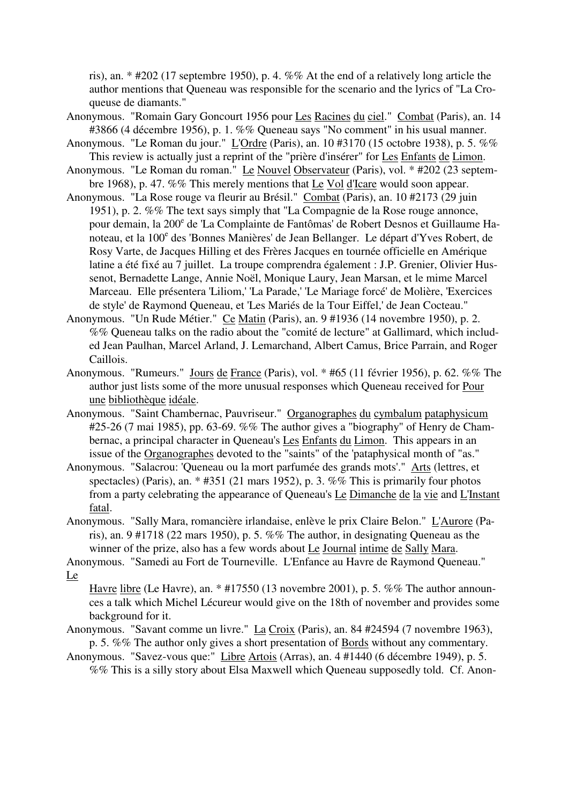ris), an. \* #202 (17 septembre 1950), p. 4. %% At the end of a relatively long article the author mentions that Queneau was responsible for the scenario and the lyrics of "La Croqueuse de diamants."

- Anonymous. "Romain Gary Goncourt 1956 pour Les Racines du ciel." Combat (Paris), an. 14 #3866 (4 décembre 1956), p. 1. %% Queneau says "No comment" in his usual manner.
- Anonymous. "Le Roman du jour." L'Ordre (Paris), an. 10 #3170 (15 octobre 1938), p. 5. %% This review is actually just a reprint of the "prière d'insérer" for Les Enfants de Limon.
- Anonymous. "Le Roman du roman." Le Nouvel Observateur (Paris), vol. \* #202 (23 septembre 1968), p. 47. %% This merely mentions that Le Vol d'Icare would soon appear.
- Anonymous. "La Rose rouge va fleurir au Brésil." Combat (Paris), an. 10 #2173 (29 juin 1951), p. 2. %% The text says simply that "La Compagnie de la Rose rouge annonce, pour demain, la 200<sup>e</sup> de 'La Complainte de Fantômas' de Robert Desnos et Guillaume Hanoteau, et la 100<sup>e</sup> des 'Bonnes Manières' de Jean Bellanger. Le départ d'Yves Robert, de Rosy Varte, de Jacques Hilling et des Frères Jacques en tournée officielle en Amérique latine a été fixé au 7 juillet. La troupe comprendra également : J.P. Grenier, Olivier Hussenot, Bernadette Lange, Annie Noël, Monique Laury, Jean Marsan, et le mime Marcel Marceau. Elle présentera 'Liliom,' 'La Parade,' 'Le Mariage forcé' de Molière, 'Exercices de style' de Raymond Queneau, et 'Les Mariés de la Tour Eiffel,' de Jean Cocteau."
- Anonymous. "Un Rude Métier." Ce Matin (Paris), an. 9 #1936 (14 novembre 1950), p. 2. %% Queneau talks on the radio about the "comité de lecture" at Gallimard, which included Jean Paulhan, Marcel Arland, J. Lemarchand, Albert Camus, Brice Parrain, and Roger Caillois.
- Anonymous. "Rumeurs." Jours de France (Paris), vol. \* #65 (11 février 1956), p. 62. %% The author just lists some of the more unusual responses which Queneau received for Pour une bibliothèque idéale.
- Anonymous. "Saint Chambernac, Pauvriseur." Organographes du cymbalum pataphysicum #25-26 (7 mai 1985), pp. 63-69. %% The author gives a "biography" of Henry de Chambernac, a principal character in Queneau's Les Enfants du Limon. This appears in an issue of the Organographes devoted to the "saints" of the 'pataphysical month of "as."
- Anonymous. "Salacrou: 'Queneau ou la mort parfumée des grands mots'." Arts (lettres, et spectacles) (Paris), an. \* #351 (21 mars 1952), p. 3.  $\%$ % This is primarily four photos from a party celebrating the appearance of Queneau's Le Dimanche de la vie and L'Instant fatal.
- Anonymous. "Sally Mara, romancière irlandaise, enlève le prix Claire Belon." L'Aurore (Paris), an. 9 #1718 (22 mars 1950), p. 5. %% The author, in designating Queneau as the winner of the prize, also has a few words about Le Journal intime de Sally Mara.

Anonymous. "Samedi au Fort de Tourneville. L'Enfance au Havre de Raymond Queneau." Le

Havre libre (Le Havre), an. \* #17550 (13 novembre 2001), p. 5. %% The author announces a talk which Michel Lécureur would give on the 18th of november and provides some background for it.

Anonymous. "Savant comme un livre." La Croix (Paris), an. 84 #24594 (7 novembre 1963), p. 5. %% The author only gives a short presentation of Bords without any commentary.

Anonymous. "Savez-vous que:" Libre Artois (Arras), an. 4 #1440 (6 décembre 1949), p. 5. %% This is a silly story about Elsa Maxwell which Queneau supposedly told. Cf. Anon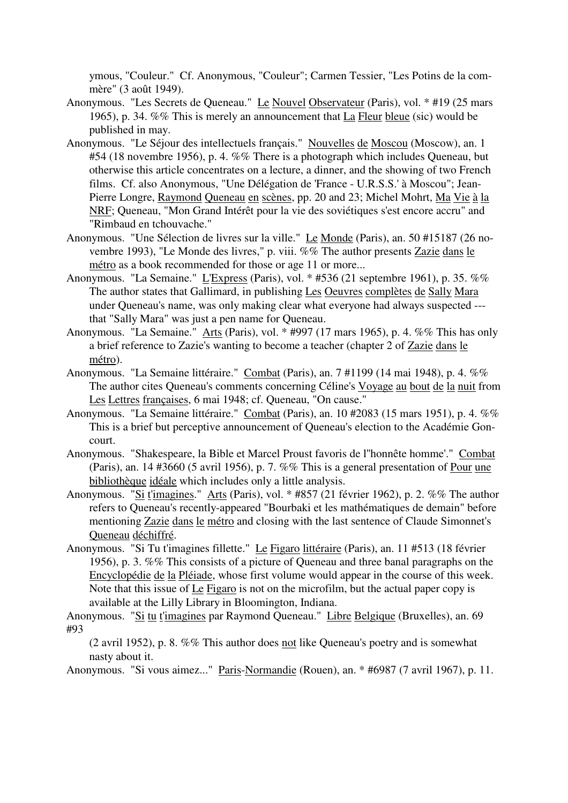ymous, "Couleur." Cf. Anonymous, "Couleur"; Carmen Tessier, "Les Potins de la commère" (3 août 1949).

- Anonymous. "Les Secrets de Queneau." Le Nouvel Observateur (Paris), vol. \* #19 (25 mars 1965), p. 34. %% This is merely an announcement that La Fleur bleue (sic) would be published in may.
- Anonymous. "Le Séjour des intellectuels français." Nouvelles de Moscou (Moscow), an. 1 #54 (18 novembre 1956), p. 4. %% There is a photograph which includes Queneau, but otherwise this article concentrates on a lecture, a dinner, and the showing of two French films. Cf. also Anonymous, "Une Délégation de 'France - U.R.S.S.' à Moscou"; Jean-Pierre Longre, Raymond Queneau en scènes, pp. 20 and 23; Michel Mohrt, Ma Vie à la NRF; Queneau, "Mon Grand Intérêt pour la vie des soviétiques s'est encore accru" and "Rimbaud en tchouvache."
- Anonymous. "Une Sélection de livres sur la ville." Le Monde (Paris), an. 50 #15187 (26 novembre 1993), "Le Monde des livres," p. viii. %% The author presents Zazie dans le métro as a book recommended for those or age 11 or more...
- Anonymous. "La Semaine." L'Express (Paris), vol. \* #536 (21 septembre 1961), p. 35. %% The author states that Gallimard, in publishing Les Oeuvres complètes de Sally Mara under Queneau's name, was only making clear what everyone had always suspected -- that "Sally Mara" was just a pen name for Queneau.
- Anonymous. "La Semaine." Arts (Paris), vol. \* #997 (17 mars 1965), p. 4. %% This has only a brief reference to Zazie's wanting to become a teacher (chapter 2 of Zazie dans le métro).
- Anonymous. "La Semaine littéraire." Combat (Paris), an. 7 #1199 (14 mai 1948), p. 4. %% The author cites Queneau's comments concerning Céline's Voyage au bout de la nuit from Les Lettres françaises, 6 mai 1948; cf. Queneau, "On cause."
- Anonymous. "La Semaine littéraire." Combat (Paris), an. 10 #2083 (15 mars 1951), p. 4. %% This is a brief but perceptive announcement of Queneau's election to the Académie Goncourt.
- Anonymous. "Shakespeare, la Bible et Marcel Proust favoris de l''honnête homme'." Combat (Paris), an. 14 #3660 (5 avril 1956), p. 7. %% This is a general presentation of Pour une bibliothèque idéale which includes only a little analysis.
- Anonymous. "Si t'imagines." Arts (Paris), vol. \* #857 (21 février 1962), p. 2. %% The author refers to Queneau's recently-appeared "Bourbaki et les mathématiques de demain" before mentioning Zazie dans le métro and closing with the last sentence of Claude Simonnet's Queneau déchiffré.
- Anonymous. "Si Tu t'imagines fillette." Le Figaro littéraire (Paris), an. 11 #513 (18 février 1956), p. 3. %% This consists of a picture of Queneau and three banal paragraphs on the Encyclopédie de la Pléiade, whose first volume would appear in the course of this week. Note that this issue of Le Figaro is not on the microfilm, but the actual paper copy is available at the Lilly Library in Bloomington, Indiana.

Anonymous. "Si tu t'imagines par Raymond Queneau." Libre Belgique (Bruxelles), an. 69 #93

(2 avril 1952), p. 8. %% This author does not like Queneau's poetry and is somewhat nasty about it.

Anonymous. "Si vous aimez..." Paris-Normandie (Rouen), an. \* #6987 (7 avril 1967), p. 11.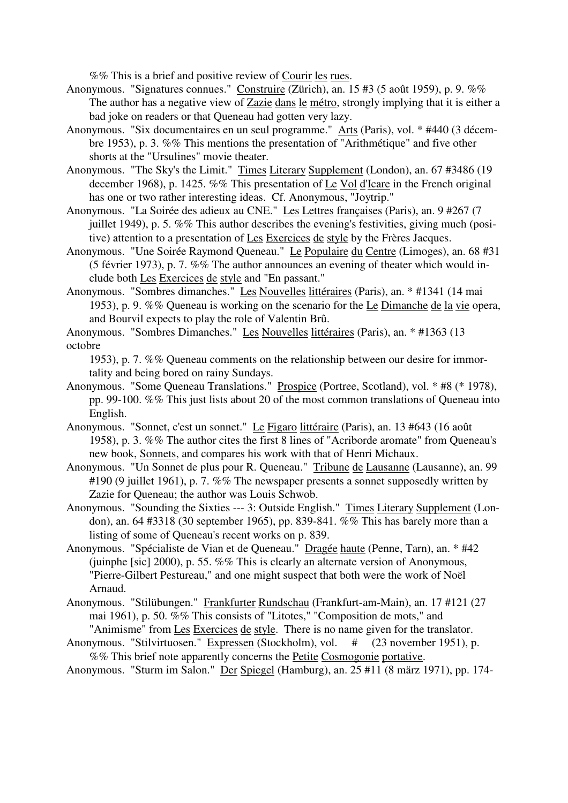%% This is a brief and positive review of Courir les rues.

- Anonymous. "Signatures connues." Construire (Zürich), an. 15 #3 (5 août 1959), p. 9. %% The author has a negative view of Zazie dans le métro, strongly implying that it is either a bad joke on readers or that Queneau had gotten very lazy.
- Anonymous. "Six documentaires en un seul programme." Arts (Paris), vol. \* #440 (3 décembre 1953), p. 3. %% This mentions the presentation of "Arithmétique" and five other shorts at the "Ursulines" movie theater.
- Anonymous. "The Sky's the Limit." Times Literary Supplement (London), an. 67 #3486 (19 december 1968), p. 1425. %% This presentation of Le Vol d'Icare in the French original has one or two rather interesting ideas. Cf. Anonymous, "Joytrip."
- Anonymous. "La Soirée des adieux au CNE." Les Lettres françaises (Paris), an. 9 #267 (7 juillet 1949), p. 5. %% This author describes the evening's festivities, giving much (positive) attention to a presentation of Les Exercices de style by the Frères Jacques.
- Anonymous. "Une Soirée Raymond Queneau." Le Populaire du Centre (Limoges), an. 68 #31 (5 février 1973), p. 7. %% The author announces an evening of theater which would include both Les Exercices de style and "En passant."
- Anonymous. "Sombres dimanches." Les Nouvelles littéraires (Paris), an. \* #1341 (14 mai 1953), p. 9. %% Queneau is working on the scenario for the Le Dimanche de la vie opera, and Bourvil expects to play the role of Valentin Brû.
- Anonymous. "Sombres Dimanches." Les Nouvelles littéraires (Paris), an. \* #1363 (13 octobre

1953), p. 7. %% Queneau comments on the relationship between our desire for immortality and being bored on rainy Sundays.

- Anonymous. "Some Queneau Translations." Prospice (Portree, Scotland), vol. \* #8 (\* 1978), pp. 99-100. %% This just lists about 20 of the most common translations of Queneau into English.
- Anonymous. "Sonnet, c'est un sonnet." Le Figaro littéraire (Paris), an. 13 #643 (16 août 1958), p. 3. %% The author cites the first 8 lines of "Acriborde aromate" from Queneau's new book, Sonnets, and compares his work with that of Henri Michaux.
- Anonymous. "Un Sonnet de plus pour R. Queneau." Tribune de Lausanne (Lausanne), an. 99 #190 (9 juillet 1961), p. 7. %% The newspaper presents a sonnet supposedly written by Zazie for Queneau; the author was Louis Schwob.
- Anonymous. "Sounding the Sixties --- 3: Outside English." Times Literary Supplement (London), an. 64 #3318 (30 september 1965), pp. 839-841. %% This has barely more than a listing of some of Queneau's recent works on p. 839.
- Anonymous. "Spécialiste de Vian et de Queneau." Dragée haute (Penne, Tarn), an. \* #42 (juinphe [sic] 2000), p. 55. %% This is clearly an alternate version of Anonymous, "Pierre-Gilbert Pestureau," and one might suspect that both were the work of Noël Arnaud.
- Anonymous. "Stilübungen." Frankfurter Rundschau (Frankfurt-am-Main), an. 17 #121 (27 mai 1961), p. 50. %% This consists of "Litotes," "Composition de mots," and "Animisme" from Les Exercices de style. There is no name given for the translator.
- Anonymous. "Stilvirtuosen." Expressen (Stockholm), vol. # (23 november 1951), p. %% This brief note apparently concerns the Petite Cosmogonie portative.
- Anonymous. "Sturm im Salon." Der Spiegel (Hamburg), an. 25 #11 (8 märz 1971), pp. 174-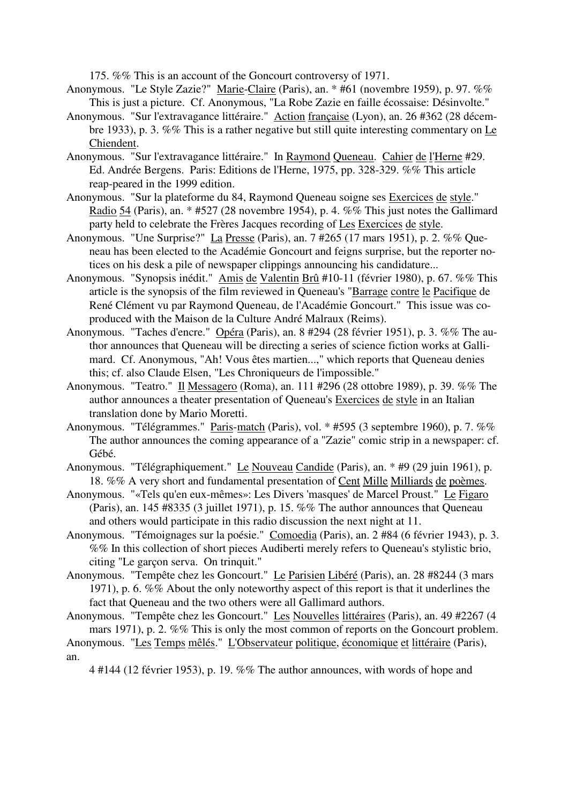175. %% This is an account of the Goncourt controversy of 1971.

- Anonymous. "Le Style Zazie?" Marie-Claire (Paris), an. \* #61 (novembre 1959), p. 97. %% This is just a picture. Cf. Anonymous, "La Robe Zazie en faille écossaise: Désinvolte."
- Anonymous. "Sur l'extravagance littéraire." Action française (Lyon), an. 26 #362 (28 décembre 1933), p. 3. %% This is a rather negative but still quite interesting commentary on Le Chiendent.
- Anonymous. "Sur l'extravagance littéraire." In Raymond Queneau. Cahier de l'Herne #29. Ed. Andrée Bergens. Paris: Editions de l'Herne, 1975, pp. 328-329. %% This article reap-peared in the 1999 edition.
- Anonymous. "Sur la plateforme du 84, Raymond Queneau soigne ses Exercices de style." Radio 54 (Paris), an. \* #527 (28 novembre 1954), p. 4. %% This just notes the Gallimard party held to celebrate the Frères Jacques recording of Les Exercices de style.
- Anonymous. "Une Surprise?" La Presse (Paris), an. 7 #265 (17 mars 1951), p. 2. %% Queneau has been elected to the Académie Goncourt and feigns surprise, but the reporter notices on his desk a pile of newspaper clippings announcing his candidature...
- Anonymous. "Synopsis inédit." Amis de Valentin Brû #10-11 (février 1980), p. 67. %% This article is the synopsis of the film reviewed in Queneau's "Barrage contre le Pacifique de René Clément vu par Raymond Queneau, de l'Académie Goncourt." This issue was coproduced with the Maison de la Culture André Malraux (Reims).
- Anonymous. "Taches d'encre." Opéra (Paris), an. 8 #294 (28 février 1951), p. 3. %% The author announces that Queneau will be directing a series of science fiction works at Gallimard. Cf. Anonymous, "Ah! Vous êtes martien...," which reports that Queneau denies this; cf. also Claude Elsen, "Les Chroniqueurs de l'impossible."
- Anonymous. "Teatro." Il Messagero (Roma), an. 111 #296 (28 ottobre 1989), p. 39. %% The author announces a theater presentation of Queneau's Exercices de style in an Italian translation done by Mario Moretti.
- Anonymous. "Télégrammes." Paris-match (Paris), vol. \* #595 (3 septembre 1960), p. 7. %% The author announces the coming appearance of a "Zazie" comic strip in a newspaper: cf. Gébé.
- Anonymous. "Télégraphiquement." Le Nouveau Candide (Paris), an. \* #9 (29 juin 1961), p. 18. %% A very short and fundamental presentation of Cent Mille Milliards de poèmes.
- Anonymous. "«Tels qu'en eux-mêmes»: Les Divers 'masques' de Marcel Proust." Le Figaro (Paris), an. 145 #8335 (3 juillet 1971), p. 15. %% The author announces that Queneau and others would participate in this radio discussion the next night at 11.
- Anonymous. "Témoignages sur la poésie." Comoedia (Paris), an. 2 #84 (6 février 1943), p. 3. %% In this collection of short pieces Audiberti merely refers to Queneau's stylistic brio, citing "Le garçon serva. On trinquit."
- Anonymous. "Tempête chez les Goncourt." Le Parisien Libéré (Paris), an. 28 #8244 (3 mars 1971), p. 6. %% About the only noteworthy aspect of this report is that it underlines the fact that Queneau and the two others were all Gallimard authors.
- Anonymous. "Tempête chez les Goncourt." Les Nouvelles littéraires (Paris), an. 49 #2267 (4 mars 1971), p. 2. %% This is only the most common of reports on the Goncourt problem.
- Anonymous. "Les Temps mêlés." L'Observateur politique, économique et littéraire (Paris), an.

4 #144 (12 février 1953), p. 19. %% The author announces, with words of hope and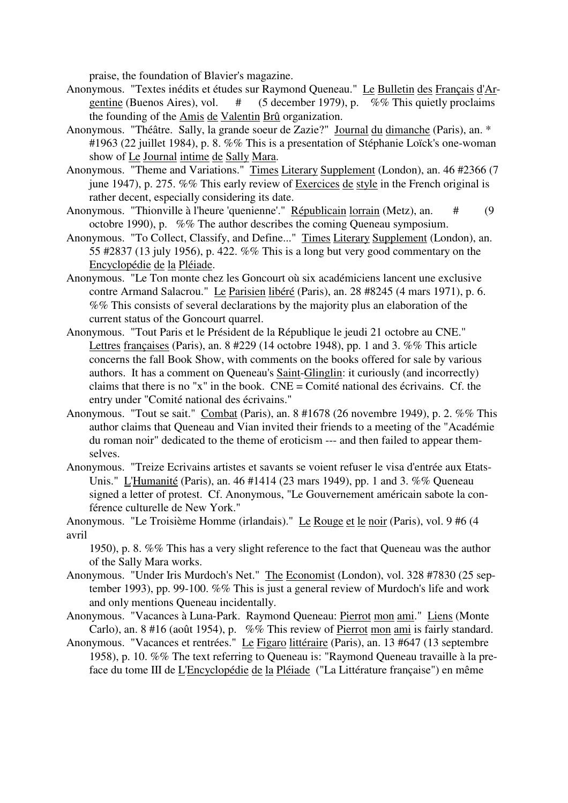praise, the foundation of Blavier's magazine.

- Anonymous. "Textes inédits et études sur Raymond Queneau." Le Bulletin des Français d'Argentine (Buenos Aires), vol.  $\#$  (5 december 1979), p. %% This quietly proclaims the founding of the Amis de Valentin Brû organization.
- Anonymous. "Théâtre. Sally, la grande soeur de Zazie?" Journal du dimanche (Paris), an. \* #1963 (22 juillet 1984), p. 8. %% This is a presentation of Stéphanie Loïck's one-woman show of Le Journal intime de Sally Mara.
- Anonymous. "Theme and Variations." Times Literary Supplement (London), an. 46 #2366 (7 june 1947), p. 275. %% This early review of Exercices de style in the French original is rather decent, especially considering its date.
- Anonymous. "Thionville à l'heure 'quenienne'." Républicain lorrain (Metz), an. # (9 octobre 1990), p. %% The author describes the coming Queneau symposium.
- Anonymous. "To Collect, Classify, and Define..." Times Literary Supplement (London), an. 55 #2837 (13 july 1956), p. 422. %% This is a long but very good commentary on the Encyclopédie de la Pléiade.
- Anonymous. "Le Ton monte chez les Goncourt où six académiciens lancent une exclusive contre Armand Salacrou." Le Parisien libéré (Paris), an. 28 #8245 (4 mars 1971), p. 6. %% This consists of several declarations by the majority plus an elaboration of the current status of the Goncourt quarrel.
- Anonymous. "Tout Paris et le Président de la République le jeudi 21 octobre au CNE." Lettres françaises (Paris), an. 8 #229 (14 octobre 1948), pp. 1 and 3. %% This article concerns the fall Book Show, with comments on the books offered for sale by various authors. It has a comment on Queneau's Saint-Glinglin: it curiously (and incorrectly) claims that there is no "x" in the book. CNE = Comité national des écrivains. Cf. the entry under "Comité national des écrivains."
- Anonymous. "Tout se sait." Combat (Paris), an. 8 #1678 (26 novembre 1949), p. 2. %% This author claims that Queneau and Vian invited their friends to a meeting of the "Académie du roman noir" dedicated to the theme of eroticism --- and then failed to appear themselves.
- Anonymous. "Treize Ecrivains artistes et savants se voient refuser le visa d'entrée aux Etats-Unis." L'Humanité (Paris), an. 46 #1414 (23 mars 1949), pp. 1 and 3. %% Queneau signed a letter of protest. Cf. Anonymous, "Le Gouvernement américain sabote la conférence culturelle de New York."
- Anonymous. "Le Troisième Homme (irlandais)." Le Rouge et le noir (Paris), vol. 9 #6 (4 avril
	- 1950), p. 8. %% This has a very slight reference to the fact that Queneau was the author of the Sally Mara works.
- Anonymous. "Under Iris Murdoch's Net." The Economist (London), vol. 328 #7830 (25 september 1993), pp. 99-100. %% This is just a general review of Murdoch's life and work and only mentions Queneau incidentally.
- Anonymous. "Vacances à Luna-Park. Raymond Queneau: Pierrot mon ami." Liens (Monte Carlo), an. 8 #16 (août 1954), p. %% This review of Pierrot mon ami is fairly standard.
- Anonymous. "Vacances et rentrées." Le Figaro littéraire (Paris), an. 13 #647 (13 septembre 1958), p. 10. %% The text referring to Queneau is: "Raymond Queneau travaille à la preface du tome III de L'Encyclopédie de la Pléiade ("La Littérature française") en même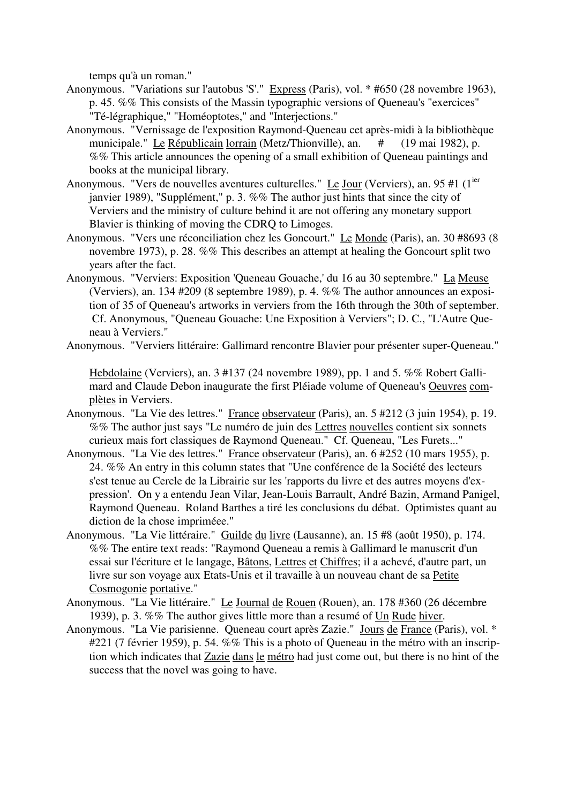temps qu'à un roman."

- Anonymous. "Variations sur l'autobus 'S'." Express (Paris), vol. \* #650 (28 novembre 1963), p. 45. %% This consists of the Massin typographic versions of Queneau's "exercices" "Té-légraphique," "Homéoptotes," and "Interjections."
- Anonymous. "Vernissage de l'exposition Raymond-Queneau cet après-midi à la bibliothèque municipale." Le Républicain lorrain (Metz/Thionville), an. # (19 mai 1982), p. %% This article announces the opening of a small exhibition of Queneau paintings and books at the municipal library.
- Anonymous. "Vers de nouvelles aventures culturelles." Le Jour (Verviers), an. 95 #1 (1<sup>ier</sup> janvier 1989), "Supplément," p. 3. %% The author just hints that since the city of Verviers and the ministry of culture behind it are not offering any monetary support Blavier is thinking of moving the CDRQ to Limoges.
- Anonymous. "Vers une réconciliation chez les Goncourt." Le Monde (Paris), an. 30 #8693 (8 novembre 1973), p. 28. %% This describes an attempt at healing the Goncourt split two years after the fact.
- Anonymous. "Verviers: Exposition 'Queneau Gouache,' du 16 au 30 septembre." La Meuse (Verviers), an. 134 #209 (8 septembre 1989), p. 4. %% The author announces an exposition of 35 of Queneau's artworks in verviers from the 16th through the 30th of september. Cf. Anonymous, "Queneau Gouache: Une Exposition à Verviers"; D. C., "L'Autre Queneau à Verviers."
- Anonymous. "Verviers littéraire: Gallimard rencontre Blavier pour présenter super-Queneau."

Hebdolaine (Verviers), an. 3 #137 (24 novembre 1989), pp. 1 and 5. %% Robert Gallimard and Claude Debon inaugurate the first Pléiade volume of Queneau's Oeuvres complètes in Verviers.

- Anonymous. "La Vie des lettres." France observateur (Paris), an. 5 #212 (3 juin 1954), p. 19. %% The author just says "Le numéro de juin des Lettres nouvelles contient six sonnets curieux mais fort classiques de Raymond Queneau." Cf. Queneau, "Les Furets..."
- Anonymous. "La Vie des lettres." France observateur (Paris), an. 6 #252 (10 mars 1955), p. 24. %% An entry in this column states that "Une conférence de la Société des lecteurs s'est tenue au Cercle de la Librairie sur les 'rapports du livre et des autres moyens d'expression'. On y a entendu Jean Vilar, Jean-Louis Barrault, André Bazin, Armand Panigel, Raymond Queneau. Roland Barthes a tiré les conclusions du débat. Optimistes quant au diction de la chose impriméee."
- Anonymous. "La Vie littéraire." Guilde du livre (Lausanne), an. 15 #8 (août 1950), p. 174. %% The entire text reads: "Raymond Queneau a remis à Gallimard le manuscrit d'un essai sur l'écriture et le langage, Bâtons, Lettres et Chiffres; il a achevé, d'autre part, un livre sur son voyage aux Etats-Unis et il travaille à un nouveau chant de sa Petite Cosmogonie portative."
- Anonymous. "La Vie littéraire." Le Journal de Rouen (Rouen), an. 178 #360 (26 décembre 1939), p. 3. %% The author gives little more than a resumé of Un Rude hiver.
- Anonymous. "La Vie parisienne. Queneau court après Zazie." Jours de France (Paris), vol. \* #221 (7 février 1959), p. 54. %% This is a photo of Queneau in the métro with an inscription which indicates that Zazie dans le métro had just come out, but there is no hint of the success that the novel was going to have.